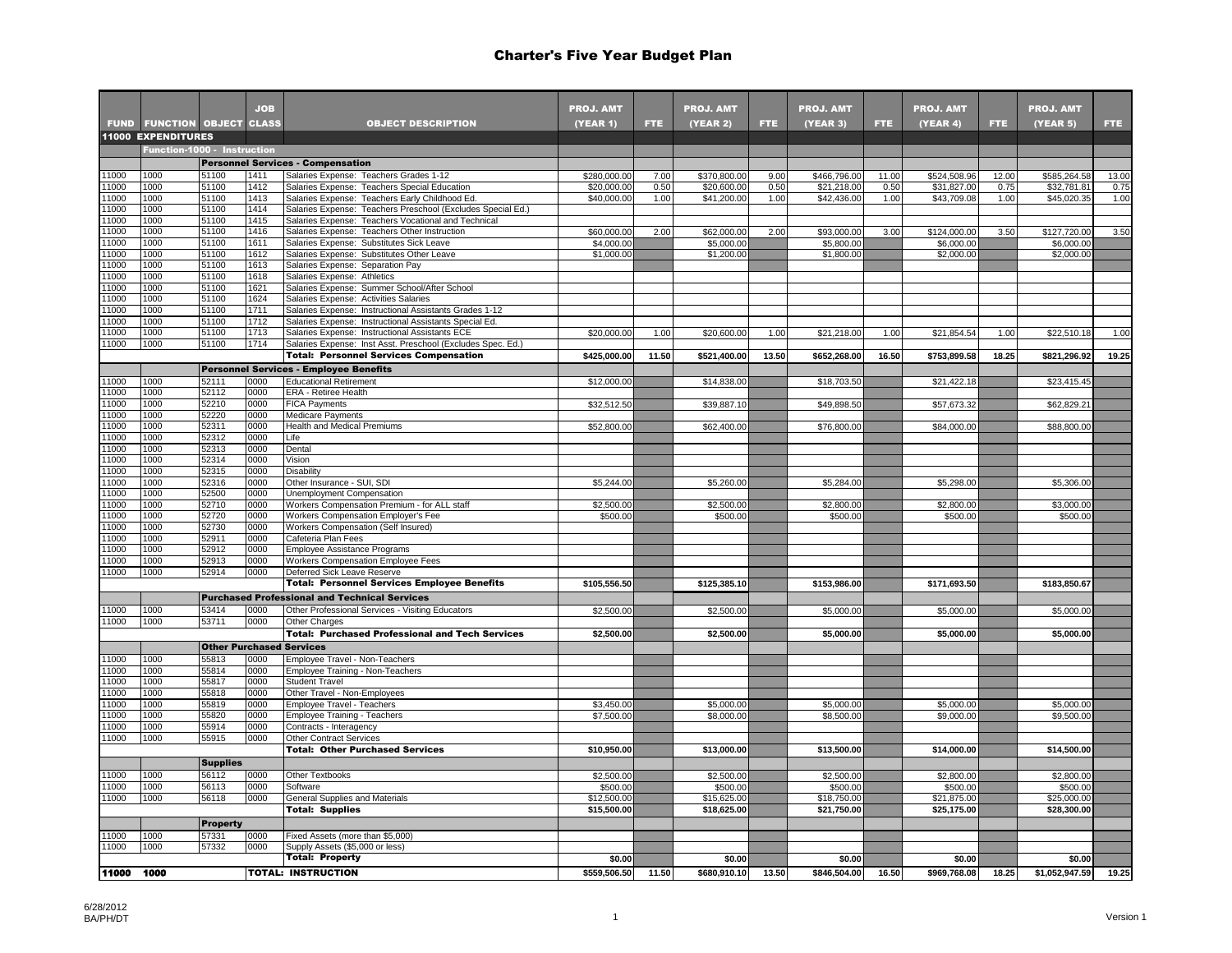|                |                                   |                 | <b>JOB</b>   |                                                                                                              | <b>PROJ. AMT</b>           |              | <b>PROJ. AMT</b>           |              | <b>PROJ. AMT</b>           |              | <b>PROJ. AMT</b>           |              | <b>PROJ. AMT</b>           |               |
|----------------|-----------------------------------|-----------------|--------------|--------------------------------------------------------------------------------------------------------------|----------------------------|--------------|----------------------------|--------------|----------------------------|--------------|----------------------------|--------------|----------------------------|---------------|
|                | <b>FUND FUNCTION OBJECT CLASS</b> |                 |              | <b>OBJECT DESCRIPTION</b>                                                                                    | (YEAR 1)                   | FTE.         | <b>(YEAR 2)</b>            | FTE.         | <b>(YEAR 3)</b>            | FTE.         | (YEAR 4)                   | FTE.         | (YEAR 5)                   | FTE.          |
|                | <b>11000 EXPENDITURES</b>         |                 |              |                                                                                                              |                            |              |                            |              |                            |              |                            |              |                            |               |
|                | Function-1000 - Instruction       |                 |              |                                                                                                              |                            |              |                            |              |                            |              |                            |              |                            |               |
|                |                                   |                 |              | <b>Personnel Services - Compensation</b>                                                                     |                            |              |                            |              |                            |              |                            |              |                            |               |
| 11000          | 1000<br>1000                      | 51100           | 1411         | Salaries Expense: Teachers Grades 1-12                                                                       | \$280,000.00               | 7.00         | \$370,800.00               | 9.00         | \$466,796.00               | 11.00        | \$524,508.96               | 12.00        | \$585,264.58               | 13.00<br>0.75 |
| 11000<br>11000 | 1000                              | 51100<br>51100  | 1412<br>1413 | Salaries Expense: Teachers Special Education<br>Salaries Expense: Teachers Early Childhood Ed.               | \$20,000.00<br>\$40,000.00 | 0.50<br>1.00 | \$20,600.00<br>\$41,200.00 | 0.50<br>1.00 | \$21,218.00<br>\$42,436.00 | 0.50<br>1.00 | \$31,827.00<br>\$43,709.08 | 0.75<br>1.00 | \$32,781.81<br>\$45,020.35 | 1.00          |
| 1000           | 1000                              | 51100           | 1414         | Salaries Expense: Teachers Preschool (Excludes Special Ed.)                                                  |                            |              |                            |              |                            |              |                            |              |                            |               |
| 1000           | 1000                              | 51100           | 1415         | Salaries Expense: Teachers Vocational and Technical                                                          |                            |              |                            |              |                            |              |                            |              |                            |               |
| 1000           | 1000                              | 51100           | 1416         | Salaries Expense: Teachers Other Instruction                                                                 | \$60,000.00                | 2.00         | \$62,000.00                | 2.00         | \$93,000.00                | 3.00         | \$124,000.00               | 3.50         | \$127,720.00               | 3.50          |
| 1000           | 1000                              | 51100           | 1611         | Salaries Expense: Substitutes Sick Leave                                                                     | \$4,000.00                 |              | \$5,000.00                 |              | \$5,800.00                 |              | \$6,000.00                 |              | \$6,000.00                 |               |
| 1000<br>1000   | 1000<br>1000                      | 51100<br>51100  | 1612<br>1613 | Salaries Expense: Substitutes Other Leave<br>Salaries Expense: Separation Pay                                | \$1,000.00                 |              | \$1,200.00                 |              | \$1,800.00                 |              | \$2,000.00                 |              | \$2,000.00                 |               |
| 11000          | 1000                              | 51100           | 1618         | Salaries Expense: Athletics                                                                                  |                            |              |                            |              |                            |              |                            |              |                            |               |
| 11000          | 1000                              | 51100           | 1621         | Salaries Expense: Summer School/After School                                                                 |                            |              |                            |              |                            |              |                            |              |                            |               |
| 1000           | 1000                              | 51100           | 1624         | Salaries Expense: Activities Salaries                                                                        |                            |              |                            |              |                            |              |                            |              |                            |               |
| 1000           | 1000                              | 51100           | 1711         | Salaries Expense: Instructional Assistants Grades 1-12                                                       |                            |              |                            |              |                            |              |                            |              |                            |               |
| 1000           | 1000                              | 51100           | 1712         | Salaries Expense: Instructional Assistants Special Ed.                                                       |                            |              |                            |              |                            |              |                            |              |                            |               |
| 1000           | 1000                              | 51100           | 1713         | Salaries Expense: Instructional Assistants ECE                                                               | \$20,000.00                | 1.00         | \$20,600.00                | 1.00         | \$21,218.00                | 1.00         | \$21,854.54                | 1.00         | \$22,510.18                | 1.00          |
| 1000           | 1000                              | 51100           | 1714         | Salaries Expense: Inst Asst. Preschool (Excludes Spec. Ed.)<br><b>Total: Personnel Services Compensation</b> | \$425,000.00               | 11.50        | \$521,400.00               | 13.50        | \$652,268.00               | 16.50        | \$753,899.58               | 18.25        | \$821,296.92               | 19.25         |
|                |                                   |                 |              |                                                                                                              |                            |              |                            |              |                            |              |                            |              |                            |               |
| 1000           | 1000                              | 52111           | 0000         | <b>Personnel Services - Employee Benefits</b><br><b>Educational Retirement</b>                               | \$12,000.00                |              | \$14,838.00                |              | \$18,703.50                |              | \$21,422.18                |              | \$23,415.45                |               |
| 11000          | 1000                              | 52112           | 0000         | <b>ERA - Retiree Health</b>                                                                                  |                            |              |                            |              |                            |              |                            |              |                            |               |
| 11000          | 1000                              | 52210           | 0000         | <b>FICA Payments</b>                                                                                         | \$32,512.50                |              | \$39,887.10                |              | \$49,898.50                |              | \$57,673.32                |              | \$62,829.21                |               |
| 1000           | 1000                              | 52220           | 0000         | <b>Medicare Payments</b>                                                                                     |                            |              |                            |              |                            |              |                            |              |                            |               |
| 1000           | 1000                              | 52311           | 0000         | Health and Medical Premiums                                                                                  | \$52,800.00                |              | \$62,400.00                |              | \$76,800.00                |              | \$84,000.00                |              | \$88,800.00                |               |
| 1000           | 1000                              | 52312           | 0000         | Life                                                                                                         |                            |              |                            |              |                            |              |                            |              |                            |               |
| 11000          | 1000                              | 52313           | 0000         | Dental                                                                                                       |                            |              |                            |              |                            |              |                            |              |                            |               |
| 11000<br>1000  | 1000<br>1000                      | 52314<br>52315  | 0000<br>0000 | Vision<br><b>Disability</b>                                                                                  |                            |              |                            |              |                            |              |                            |              |                            |               |
| 11000          | 1000                              | 52316           | 0000         | Other Insurance - SUI, SDI                                                                                   | \$5,244.00                 |              | \$5,260.00                 |              | \$5,284.00                 |              | \$5,298.00                 |              | \$5,306.00                 |               |
| 11000          | 1000                              | 52500           | 0000         | Unemployment Compensation                                                                                    |                            |              |                            |              |                            |              |                            |              |                            |               |
| 11000          | 1000                              | 52710           | 0000         | Workers Compensation Premium - for ALL staff                                                                 | \$2,500.00                 |              | \$2,500.00                 |              | \$2,800.00                 |              | \$2,800.00                 |              | \$3,000.00                 |               |
| 1000           | 1000                              | 52720           | 0000         | Workers Compensation Employer's Fee                                                                          | \$500.00                   |              | \$500.00                   |              | \$500.00                   |              | \$500.00                   |              | \$500.00                   |               |
| 1000           | 1000                              | 52730           | 0000         | Workers Compensation (Self Insured)                                                                          |                            |              |                            |              |                            |              |                            |              |                            |               |
| 1000           | 1000                              | 52911           | 0000         | Cafeteria Plan Fees                                                                                          |                            |              |                            |              |                            |              |                            |              |                            |               |
| 1000<br>1000   | 1000<br>1000                      | 52912<br>52913  | 0000         | Employee Assistance Programs                                                                                 |                            |              |                            |              |                            |              |                            |              |                            |               |
| 11000          | 1000                              | 52914           | 0000<br>0000 | Workers Compensation Employee Fees<br>Deferred Sick Leave Reserve                                            |                            |              |                            |              |                            |              |                            |              |                            |               |
|                |                                   |                 |              | <b>Total: Personnel Services Employee Benefits</b>                                                           | \$105,556.50               |              | \$125.385.10               |              | \$153,986.00               |              | \$171.693.50               |              | \$183.850.67               |               |
|                |                                   |                 |              | <b>Purchased Professional and Technical Services</b>                                                         |                            |              |                            |              |                            |              |                            |              |                            |               |
| 1000           | 1000                              | 53414           | 0000         | Other Professional Services - Visiting Educators                                                             | \$2,500.00                 |              | \$2,500.00                 |              | \$5,000.00                 |              | \$5,000.00                 |              | \$5,000.00                 |               |
| 1000           | 1000                              | 53711           | 0000         | Other Charges                                                                                                |                            |              |                            |              |                            |              |                            |              |                            |               |
|                |                                   |                 |              | <b>Total: Purchased Professional and Tech Services</b>                                                       | \$2,500.00                 |              | \$2,500.00                 |              | \$5,000.00                 |              | \$5,000.00                 |              | \$5,000.00                 |               |
|                |                                   |                 |              | <b>Other Purchased Services</b>                                                                              |                            |              |                            |              |                            |              |                            |              |                            |               |
| 1000           | 1000                              | 55813           | 0000         | Employee Travel - Non-Teachers                                                                               |                            |              |                            |              |                            |              |                            |              |                            |               |
| 1000           | 1000                              | 55814           | 0000         | Employee Training - Non-Teachers                                                                             |                            |              |                            |              |                            |              |                            |              |                            |               |
| 1000           | 1000                              | 55817           | 0000         | <b>Student Travel</b>                                                                                        |                            |              |                            |              |                            |              |                            |              |                            |               |
| 1000           | 1000                              | 55818           | 0000         | Other Travel - Non-Employees                                                                                 |                            |              |                            |              |                            |              |                            |              |                            |               |
| 11000<br>1000  | 1000<br>1000                      | 55819<br>55820  | 0000<br>0000 | Employee Travel - Teachers                                                                                   | \$3,450.00                 |              | \$5,000.00                 |              | \$5,000.00<br>\$8,500.00   |              | \$5,000.00                 |              | \$5,000.00                 |               |
| 1000           | 1000                              | 55914           | 0000         | Employee Training - Teachers<br>Contracts - Interagency                                                      | \$7,500.00                 |              | \$8,000.00                 |              |                            |              | \$9,000.00                 |              | \$9,500.00                 |               |
| 1000           | 1000                              | 55915           | 0000         | <b>Other Contract Services</b>                                                                               |                            |              |                            |              |                            |              |                            |              |                            |               |
|                |                                   |                 |              | <b>Total: Other Purchased Services</b>                                                                       | \$10,950.00                |              | \$13,000.00                |              | \$13,500.00                |              | \$14,000.00                |              | \$14,500.00                |               |
|                |                                   | <b>Supplies</b> |              |                                                                                                              |                            |              |                            |              |                            |              |                            |              |                            |               |
| 1000           | 1000                              | 56112           | 0000         | Other Textbooks                                                                                              | \$2,500.00                 |              | \$2,500.00                 |              | \$2,500.00                 |              | \$2,800.00                 |              | \$2,800.00                 |               |
| 1000           | 1000                              | 56113           | 0000         | Software                                                                                                     | \$500.00                   |              | \$500.00                   |              | \$500.00                   |              | \$500.00                   |              | \$500.00                   |               |
| 1000           | 1000                              | 56118           | 0000         | General Supplies and Materials                                                                               | \$12,500.00                |              | \$15,625.00                |              | \$18,750.0                 |              | \$21,875.00                |              | \$25,000.00                |               |
|                |                                   |                 |              | <b>Total: Supplies</b>                                                                                       | \$15,500.00                |              | \$18,625.00                |              | \$21,750.00                |              | \$25,175.00                |              | \$28,300.00                |               |
|                |                                   | <b>Property</b> |              |                                                                                                              |                            |              |                            |              |                            |              |                            |              |                            |               |
| 1000           | 1000                              | 57331           | 0000         | Fixed Assets (more than \$5,000)                                                                             |                            |              |                            |              |                            |              |                            |              |                            |               |
| 11000          | 1000                              | 57332           | 0000         | Supply Assets (\$5,000 or less)                                                                              |                            |              |                            |              |                            |              |                            |              |                            |               |
|                |                                   |                 |              | <b>Total: Property</b>                                                                                       | \$0.00                     |              | \$0.00                     |              | \$0.00                     |              | \$0.00                     |              | \$0.00                     |               |
| 11000 1000     |                                   |                 |              | <b>TOTAL: INSTRUCTION</b>                                                                                    | \$559,506.50               | 11.50        | \$680,910.10               | 13.50        | \$846,504.00               | 16.50        | \$969,768.08               | 18.25        | \$1,052,947.59             | 19.25         |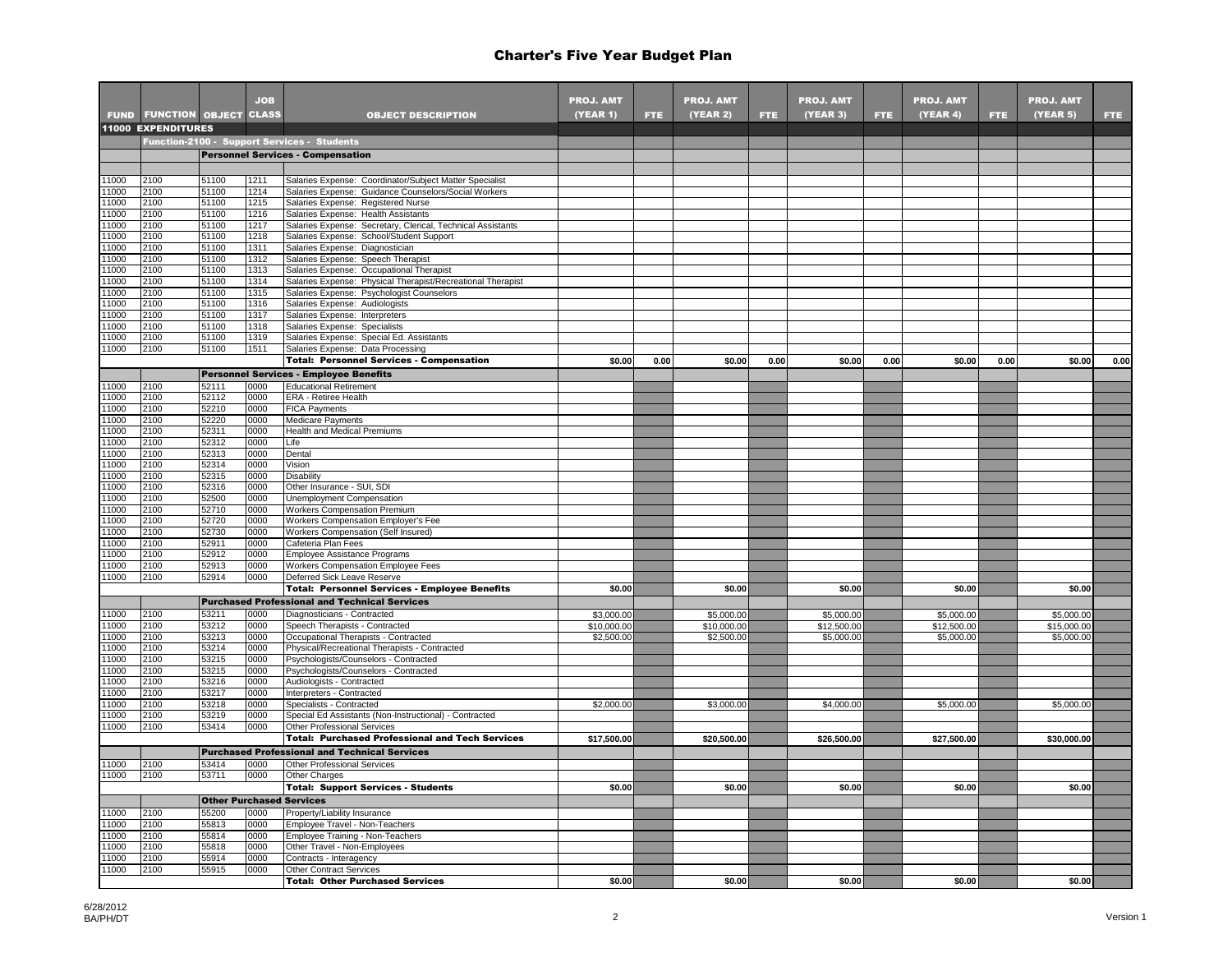|                |                                                                |                | <b>JOB</b>   |                                                                                                          | <b>PROJ. AMT</b> |      | <b>PROJ. AMT</b> |      | <b>PROJ. AMT</b> |            | <b>PROJ. AMT</b> |            | <b>PROJ. AMT</b> |      |
|----------------|----------------------------------------------------------------|----------------|--------------|----------------------------------------------------------------------------------------------------------|------------------|------|------------------|------|------------------|------------|------------------|------------|------------------|------|
|                | <b>FUND FUNCTION OBJECT CLASS</b><br><b>11000 EXPENDITURES</b> |                |              | <b>OBJECT DESCRIPTION</b>                                                                                | (YEAR 1)         | FTE. | <b>(YEAR 2)</b>  | FTE. | (YEAR 3)         | <b>FTE</b> | (YEAR 4)         | <b>FTE</b> | (YEAR 5)         | FTE. |
|                |                                                                |                |              | Function-2100 - Support Services - Students                                                              |                  |      |                  |      |                  |            |                  |            |                  |      |
|                |                                                                |                |              |                                                                                                          |                  |      |                  |      |                  |            |                  |            |                  |      |
|                |                                                                |                |              | <b>Personnel Services - Compensation</b>                                                                 |                  |      |                  |      |                  |            |                  |            |                  |      |
| 11000          | 2100                                                           | 51100          | 1211         | Salaries Expense: Coordinator/Subject Matter Specialist                                                  |                  |      |                  |      |                  |            |                  |            |                  |      |
| 11000          | 2100                                                           | 51100          | 1214         | Salaries Expense: Guidance Counselors/Social Workers                                                     |                  |      |                  |      |                  |            |                  |            |                  |      |
| 11000          | 2100                                                           | 51100          | 1215         | Salaries Expense: Registered Nurse                                                                       |                  |      |                  |      |                  |            |                  |            |                  |      |
| 11000          | 2100                                                           | 51100          | 1216         | Salaries Expense: Health Assistants                                                                      |                  |      |                  |      |                  |            |                  |            |                  |      |
| 11000          | 2100                                                           | 51100          | 1217         | Salaries Expense: Secretary, Clerical, Technical Assistants                                              |                  |      |                  |      |                  |            |                  |            |                  |      |
| 11000          | 2100                                                           | 51100          | 1218         | Salaries Expense: School/Student Support                                                                 |                  |      |                  |      |                  |            |                  |            |                  |      |
| 11000          | 2100                                                           | 51100          | 1311         | Salaries Expense: Diagnostician                                                                          |                  |      |                  |      |                  |            |                  |            |                  |      |
| 11000          | 2100                                                           | 51100          | 1312         | Salaries Expense: Speech Therapist                                                                       |                  |      |                  |      |                  |            |                  |            |                  |      |
| 11000<br>11000 | 2100                                                           | 51100          | 1313         | Salaries Expense: Occupational Therapist                                                                 |                  |      |                  |      |                  |            |                  |            |                  |      |
| 11000          | 2100<br>2100                                                   | 51100<br>51100 | 1314<br>1315 | Salaries Expense: Physical Therapist/Recreational Therapist<br>Salaries Expense: Psychologist Counselors |                  |      |                  |      |                  |            |                  |            |                  |      |
| 11000          | 2100                                                           | 51100          | 1316         | Salaries Expense: Audiologists                                                                           |                  |      |                  |      |                  |            |                  |            |                  |      |
| 11000          | 2100                                                           | 51100          | 1317         | Salaries Expense: Interpreters                                                                           |                  |      |                  |      |                  |            |                  |            |                  |      |
| 11000          | 2100                                                           | 51100          | 1318         | Salaries Expense: Specialists                                                                            |                  |      |                  |      |                  |            |                  |            |                  |      |
| 11000          | 2100                                                           | 51100          | 1319         | Salaries Expense: Special Ed. Assistants                                                                 |                  |      |                  |      |                  |            |                  |            |                  |      |
| 11000          | 2100                                                           | 51100          | 1511         | Salaries Expense: Data Processing                                                                        |                  |      |                  |      |                  |            |                  |            |                  |      |
|                |                                                                |                |              | <b>Total: Personnel Services - Compensation</b>                                                          | \$0.00           | 0.00 | \$0.00           | 0.00 | \$0.00           | 0.00       | \$0.00           | 0.00       | \$0.00           | 0.00 |
|                |                                                                |                |              | <b>Personnel Services - Employee Benefits</b>                                                            |                  |      |                  |      |                  |            |                  |            |                  |      |
| 11000          | 2100                                                           | 52111          | 0000         | <b>Educational Retirement</b>                                                                            |                  |      |                  |      |                  |            |                  |            |                  |      |
| 11000          | 2100                                                           | 52112          | 0000         | ERA - Retiree Health                                                                                     |                  |      |                  |      |                  |            |                  |            |                  |      |
| 11000<br>11000 | 2100<br>2100                                                   | 52210<br>52220 | 0000<br>0000 | <b>FICA Payments</b><br><b>Medicare Payments</b>                                                         |                  |      |                  |      |                  |            |                  |            |                  |      |
| 11000          | 2100                                                           | 52311          | 0000         | <b>Health and Medical Premiums</b>                                                                       |                  |      |                  |      |                  |            |                  |            |                  |      |
| 11000          | 2100                                                           | 52312          | 0000         | Life                                                                                                     |                  |      |                  |      |                  |            |                  |            |                  |      |
| 11000          | 2100                                                           | 52313          | 0000         | Dental                                                                                                   |                  |      |                  |      |                  |            |                  |            |                  |      |
| 11000          | 2100                                                           | 52314          | 0000         | Vision                                                                                                   |                  |      |                  |      |                  |            |                  |            |                  |      |
| 11000          | 2100                                                           | 52315          | 0000         | <b>Disability</b>                                                                                        |                  |      |                  |      |                  |            |                  |            |                  |      |
| 11000          | 2100                                                           | 52316          | 0000         | Other Insurance - SUI, SDI                                                                               |                  |      |                  |      |                  |            |                  |            |                  |      |
| 11000          | 2100                                                           | 52500          | 0000         | Unemployment Compensation                                                                                |                  |      |                  |      |                  |            |                  |            |                  |      |
| 11000          | 2100                                                           | 52710          | 0000         | <b>Workers Compensation Premium</b>                                                                      |                  |      |                  |      |                  |            |                  |            |                  |      |
| 11000<br>11000 | 2100<br>2100                                                   | 52720<br>52730 | 0000<br>0000 | Workers Compensation Employer's Fee<br>Workers Compensation (Self Insured)                               |                  |      |                  |      |                  |            |                  |            |                  |      |
| 11000          | 2100                                                           | 52911          | 0000         | Cafeteria Plan Fees                                                                                      |                  |      |                  |      |                  |            |                  |            |                  |      |
| 11000          | 2100                                                           | 52912          | 0000         | Employee Assistance Programs                                                                             |                  |      |                  |      |                  |            |                  |            |                  |      |
| 11000          | 2100                                                           | 52913          | 0000         | Workers Compensation Employee Fees                                                                       |                  |      |                  |      |                  |            |                  |            |                  |      |
| 11000          | 2100                                                           | 52914          | 0000         | Deferred Sick Leave Reserve                                                                              |                  |      |                  |      |                  |            |                  |            |                  |      |
|                |                                                                |                |              | <b>Total: Personnel Services - Employee Benefits</b>                                                     | \$0.00           |      | \$0.00           |      | \$0.00           |            | \$0.00           |            | \$0.00           |      |
|                |                                                                |                |              | <b>Purchased Professional and Technical Services</b>                                                     |                  |      |                  |      |                  |            |                  |            |                  |      |
| 11000          | 2100                                                           | 53211          | 0000         | Diagnosticians - Contracted                                                                              | \$3,000.00       |      | \$5,000.00       |      | \$5,000.00       |            | \$5,000.00       |            | \$5,000.00       |      |
| 11000          | 2100                                                           | 53212          | 0000         | Speech Therapists - Contracted                                                                           | \$10,000.00      |      | \$10,000.00      |      | \$12,500.00      |            | \$12,500.00      |            | \$15,000.00      |      |
| 11000          | 2100                                                           | 53213          | 0000         | Occupational Therapists - Contracted                                                                     | \$2,500.00       |      | \$2,500.00       |      | \$5,000.00       |            | \$5,000.00       |            | \$5,000.00       |      |
| 11000          | 2100                                                           | 53214          | 0000         | Physical/Recreational Therapists - Contracted                                                            |                  |      |                  |      |                  |            |                  |            |                  |      |
| 11000<br>11000 | 2100<br>2100                                                   | 53215<br>53215 | 0000<br>0000 | Psychologists/Counselors - Contracted                                                                    |                  |      |                  |      |                  |            |                  |            |                  |      |
| 11000          | 2100                                                           | 53216          | 0000         | Psychologists/Counselors - Contracted<br>Audiologists - Contracted                                       |                  |      |                  |      |                  |            |                  |            |                  |      |
| 11000          | 2100                                                           | 53217          | 0000         | Interpreters - Contracted                                                                                |                  |      |                  |      |                  |            |                  |            |                  |      |
| 11000          | 2100                                                           | 53218          | 0000         | Specialists - Contracted                                                                                 | \$2,000.00       |      | \$3,000.00       |      | \$4,000.00       |            | \$5,000.00       |            | \$5,000.00       |      |
| 11000          | 2100                                                           | 53219          | 0000         | Special Ed Assistants (Non-Instructional) - Contracted                                                   |                  |      |                  |      |                  |            |                  |            |                  |      |
| 11000          | 2100                                                           | 53414          | 0000         | <b>Other Professional Services</b>                                                                       |                  |      |                  |      |                  |            |                  |            |                  |      |
|                |                                                                |                |              | <b>Total: Purchased Professional and Tech Services</b>                                                   | \$17,500.00      |      | \$20,500.00      |      | \$26,500.00      |            | \$27,500.00      |            | \$30,000.00      |      |
|                |                                                                |                |              | <b>Purchased Professional and Technical Services</b>                                                     |                  |      |                  |      |                  |            |                  |            |                  |      |
| 11000          | 2100                                                           | 53414          | 0000         | Other Professional Services                                                                              |                  |      |                  |      |                  |            |                  |            |                  |      |
| 11000          | 2100                                                           | 53711          | 0000         | Other Charges                                                                                            |                  |      |                  |      |                  |            |                  |            |                  |      |
|                |                                                                |                |              | <b>Total: Support Services - Students</b>                                                                | \$0.00           |      | \$0.00           |      | \$0.00           |            | \$0.00           |            | \$0.00           |      |
|                |                                                                |                |              | <b>Other Purchased Services</b>                                                                          |                  |      |                  |      |                  |            |                  |            |                  |      |
| 11000          | 2100                                                           | 55200          | 0000         | Property/Liability Insurance                                                                             |                  |      |                  |      |                  |            |                  |            |                  |      |
| 11000          | 2100                                                           | 55813          | 0000         | Employee Travel - Non-Teachers                                                                           |                  |      |                  |      |                  |            |                  |            |                  |      |
| 11000<br>11000 | 2100<br>2100                                                   | 55814<br>55818 | 0000<br>0000 | Employee Training - Non-Teachers<br>Other Travel - Non-Employees                                         |                  |      |                  |      |                  |            |                  |            |                  |      |
| 11000          | 2100                                                           | 55914          | 0000         | Contracts - Interagency                                                                                  |                  |      |                  |      |                  |            |                  |            |                  |      |
| 11000          | 2100                                                           | 55915          | 0000         | <b>Other Contract Services</b>                                                                           |                  |      |                  |      |                  |            |                  |            |                  |      |
|                |                                                                |                |              | <b>Total: Other Purchased Services</b>                                                                   | \$0.00           |      | \$0.00           |      | \$0.00           |            | \$0.00           |            | \$0.00           |      |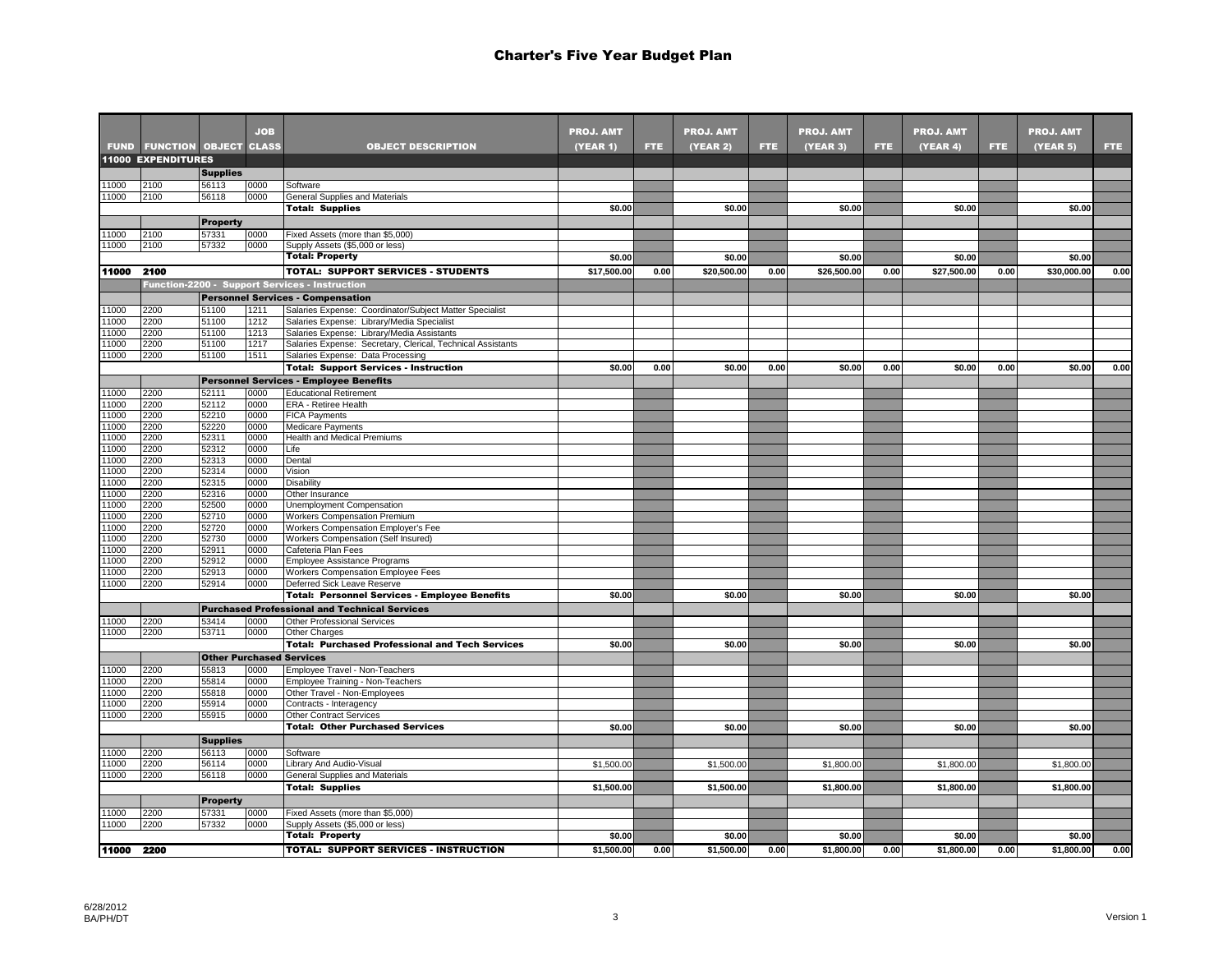|                |                                   |                                 | <b>JOB</b>   |                                                             | <b>PROJ. AMT</b> |      | <b>PROJ. AMT</b> |      | <b>PROJ. AMT</b> |      | <b>PROJ. AMT</b> |      | <b>PROJ. AMT</b> |            |
|----------------|-----------------------------------|---------------------------------|--------------|-------------------------------------------------------------|------------------|------|------------------|------|------------------|------|------------------|------|------------------|------------|
|                | <b>FUND FUNCTION OBJECT CLASS</b> |                                 |              | <b>OBJECT DESCRIPTION</b>                                   | (YEAR 1)         | FTE. | (YEAR 2)         | FTE. | (YEAR 3)         | FTE. | (YEAR 4)         | FTE. | <b>(YEAR 5)</b>  | <b>FTE</b> |
|                | <b>11000 EXPENDITURES</b>         |                                 |              |                                                             |                  |      |                  |      |                  |      |                  |      |                  |            |
|                |                                   | <b>Supplies</b>                 |              |                                                             |                  |      |                  |      |                  |      |                  |      |                  |            |
| 11000<br>11000 | 2100<br>2100                      | 56113<br>56118                  | 0000<br>0000 | Software<br>General Supplies and Materials                  |                  |      |                  |      |                  |      |                  |      |                  |            |
|                |                                   |                                 |              | <b>Total: Supplies</b>                                      | \$0.00           |      | \$0.00           |      | \$0.00           |      | \$0.00           |      | \$0.00           |            |
|                |                                   | <b>Property</b>                 |              |                                                             |                  |      |                  |      |                  |      |                  |      |                  |            |
| 11000          | 2100                              | 57331                           | 0000         | Fixed Assets (more than \$5,000)                            |                  |      |                  |      |                  |      |                  |      |                  |            |
| 11000          | 2100                              | 57332                           | 0000         | Supply Assets (\$5,000 or less)                             |                  |      |                  |      |                  |      |                  |      |                  |            |
|                |                                   |                                 |              | <b>Total: Property</b>                                      | \$0.00           |      | \$0.00           |      | \$0.00           |      | \$0.00           |      | \$0.00           |            |
| 11000          | 2100                              |                                 |              | <b>TOTAL: SUPPORT SERVICES - STUDENTS</b>                   | \$17,500.00      | 0.00 | \$20,500.00      | 0.00 | \$26,500.00      | 0.00 | \$27,500.00      | 0.00 | \$30,000.00      | 0.00       |
|                |                                   |                                 |              | Function-2200 - Support Services - Instruction              |                  |      |                  |      |                  |      |                  |      |                  |            |
|                |                                   |                                 |              | <b>Personnel Services - Compensation</b>                    |                  |      |                  |      |                  |      |                  |      |                  |            |
| 11000          | 2200                              | 51100                           | 1211         | Salaries Expense: Coordinator/Subject Matter Specialist     |                  |      |                  |      |                  |      |                  |      |                  |            |
| 11000          | 2200                              | 51100                           | 1212         | Salaries Expense: Library/Media Specialist                  |                  |      |                  |      |                  |      |                  |      |                  |            |
| 11000          | 2200                              | 51100                           | 1213         | Salaries Expense: Library/Media Assistants                  |                  |      |                  |      |                  |      |                  |      |                  |            |
| 11000          | 2200                              | 51100                           | 1217         | Salaries Expense: Secretary, Clerical, Technical Assistants |                  |      |                  |      |                  |      |                  |      |                  |            |
| 11000          | 2200                              | 51100                           | 1511         | Salaries Expense: Data Processing                           |                  |      |                  |      |                  |      |                  |      |                  |            |
|                |                                   |                                 |              | <b>Total: Support Services - Instruction</b>                | \$0.00           | 0.00 | \$0.00           | 0.00 | \$0.00           | 0.00 | \$0.00           | 0.00 | \$0.00           | 0.00       |
|                |                                   |                                 |              | <b>Personnel Services - Employee Benefits</b>               |                  |      |                  |      |                  |      |                  |      |                  |            |
| 11000          | 2200                              | 52111                           | 0000         | <b>Educational Retirement</b>                               |                  |      |                  |      |                  |      |                  |      |                  |            |
| 11000          | 2200                              | 52112                           | 0000         | ERA - Retiree Health                                        |                  |      |                  |      |                  |      |                  |      |                  |            |
| 11000          | 2200                              | 52210                           | 0000         | <b>FICA Payments</b>                                        |                  |      |                  |      |                  |      |                  |      |                  |            |
| 11000          | 2200                              | 52220                           | 0000         | <b>Medicare Payments</b>                                    |                  |      |                  |      |                  |      |                  |      |                  |            |
| 11000          | 2200                              | 52311                           | 0000         | <b>Health and Medical Premiums</b>                          |                  |      |                  |      |                  |      |                  |      |                  |            |
| 11000          | 2200                              | 52312                           | 0000         | Life                                                        |                  |      |                  |      |                  |      |                  |      |                  |            |
| 11000<br>11000 | 2200<br>2200                      | 52313<br>52314                  | 0000<br>0000 | Dental<br>Vision                                            |                  |      |                  |      |                  |      |                  |      |                  |            |
| 11000          | 2200                              | 52315                           | 0000         | Disability                                                  |                  |      |                  |      |                  |      |                  |      |                  |            |
| 11000          | 2200                              | 52316                           | 0000         | Other Insurance                                             |                  |      |                  |      |                  |      |                  |      |                  |            |
| 11000          | 2200                              | 52500                           | 0000         | Unemployment Compensation                                   |                  |      |                  |      |                  |      |                  |      |                  |            |
| 11000          | 2200                              | 52710                           | 0000         | Workers Compensation Premium                                |                  |      |                  |      |                  |      |                  |      |                  |            |
| 11000          | 2200                              | 52720                           | 0000         | Workers Compensation Employer's Fee                         |                  |      |                  |      |                  |      |                  |      |                  |            |
| 11000          | 2200                              | 52730                           | 0000         | Workers Compensation (Self Insured)                         |                  |      |                  |      |                  |      |                  |      |                  |            |
| 11000          | 2200                              | 52911                           | 0000         | Cafeteria Plan Fees                                         |                  |      |                  |      |                  |      |                  |      |                  |            |
| 11000          | 2200                              | 52912                           | 0000         | Employee Assistance Programs                                |                  |      |                  |      |                  |      |                  |      |                  |            |
| 11000          | 2200                              | 52913                           | 0000         | Workers Compensation Employee Fees                          |                  |      |                  |      |                  |      |                  |      |                  |            |
| 11000          | 2200                              | 52914                           | 0000         | Deferred Sick Leave Reserve                                 | \$0.00           |      | \$0.00           |      | \$0.00           |      | \$0.00           |      | \$0.00           |            |
|                |                                   |                                 |              | <b>Total: Personnel Services - Employee Benefits</b>        |                  |      |                  |      |                  |      |                  |      |                  |            |
|                |                                   |                                 |              | <b>Purchased Professional and Technical Services</b>        |                  |      |                  |      |                  |      |                  |      |                  |            |
| 11000<br>11000 | 2200<br>2200                      | 53414<br>53711                  | 0000<br>0000 | <b>Other Professional Services</b><br>Other Charges         |                  |      |                  |      |                  |      |                  |      |                  |            |
|                |                                   |                                 |              | <b>Total: Purchased Professional and Tech Services</b>      | \$0.00           |      | \$0.00           |      | \$0.00           |      | \$0.00           |      | \$0.00           |            |
|                |                                   | <b>Other Purchased Services</b> |              |                                                             |                  |      |                  |      |                  |      |                  |      |                  |            |
| 11000          | 2200                              | 55813                           | 0000         | Employee Travel - Non-Teachers                              |                  |      |                  |      |                  |      |                  |      |                  |            |
| 11000          | 2200                              | 55814                           | 0000         | Employee Training - Non-Teachers                            |                  |      |                  |      |                  |      |                  |      |                  |            |
| 11000          | 2200                              | 55818                           | 0000         | Other Travel - Non-Employees                                |                  |      |                  |      |                  |      |                  |      |                  |            |
| 11000          | 2200                              | 55914                           | 0000         | Contracts - Interagency                                     |                  |      |                  |      |                  |      |                  |      |                  |            |
| 11000          | 2200                              | 55915                           | 0000         | <b>Other Contract Services</b>                              |                  |      |                  |      |                  |      |                  |      |                  |            |
|                |                                   |                                 |              | <b>Total: Other Purchased Services</b>                      | \$0.00           |      | \$0.00           |      | \$0.00           |      | \$0.00           |      | \$0.00           |            |
|                |                                   | <b>Supplies</b>                 |              |                                                             |                  |      |                  |      |                  |      |                  |      |                  |            |
| 11000          | 2200                              | 56113                           | 0000         | Software                                                    |                  |      |                  |      |                  |      |                  |      |                  |            |
| 11000          | 2200                              | 56114                           | 0000         | Library And Audio-Visual                                    | \$1,500.00       |      | \$1,500.00       |      | \$1,800.00       |      | \$1,800.00       |      | \$1,800.00       |            |
| 11000          | 2200                              | 56118                           | 0000         | General Supplies and Materials                              |                  |      |                  |      |                  |      |                  |      |                  |            |
|                |                                   |                                 |              | <b>Total: Supplies</b>                                      | \$1,500.00       |      | \$1,500.00       |      | \$1,800.00       |      | \$1,800.00       |      | \$1,800.00       |            |
|                |                                   | <b>Property</b>                 |              |                                                             |                  |      |                  |      |                  |      |                  |      |                  |            |
| 11000          | 2200                              | 57331                           | 0000         | Fixed Assets (more than \$5,000)                            |                  |      |                  |      |                  |      |                  |      |                  |            |
| 11000          | 2200                              | 57332                           | 0000         | Supply Assets (\$5,000 or less)                             |                  |      |                  |      |                  |      |                  |      |                  |            |
|                |                                   |                                 |              | <b>Total: Property</b>                                      | \$0.00           |      | \$0.00           |      | \$0.00           |      | \$0.00           |      | \$0.00           |            |
| 11000          | 2200                              |                                 |              | <b>TOTAL: SUPPORT SERVICES - INSTRUCTION</b>                | \$1,500.00       | 0.00 | \$1,500.00       | 0.00 | \$1,800.00       | 0.00 | \$1,800.00       | 0.00 | \$1,800.00       | 0.00       |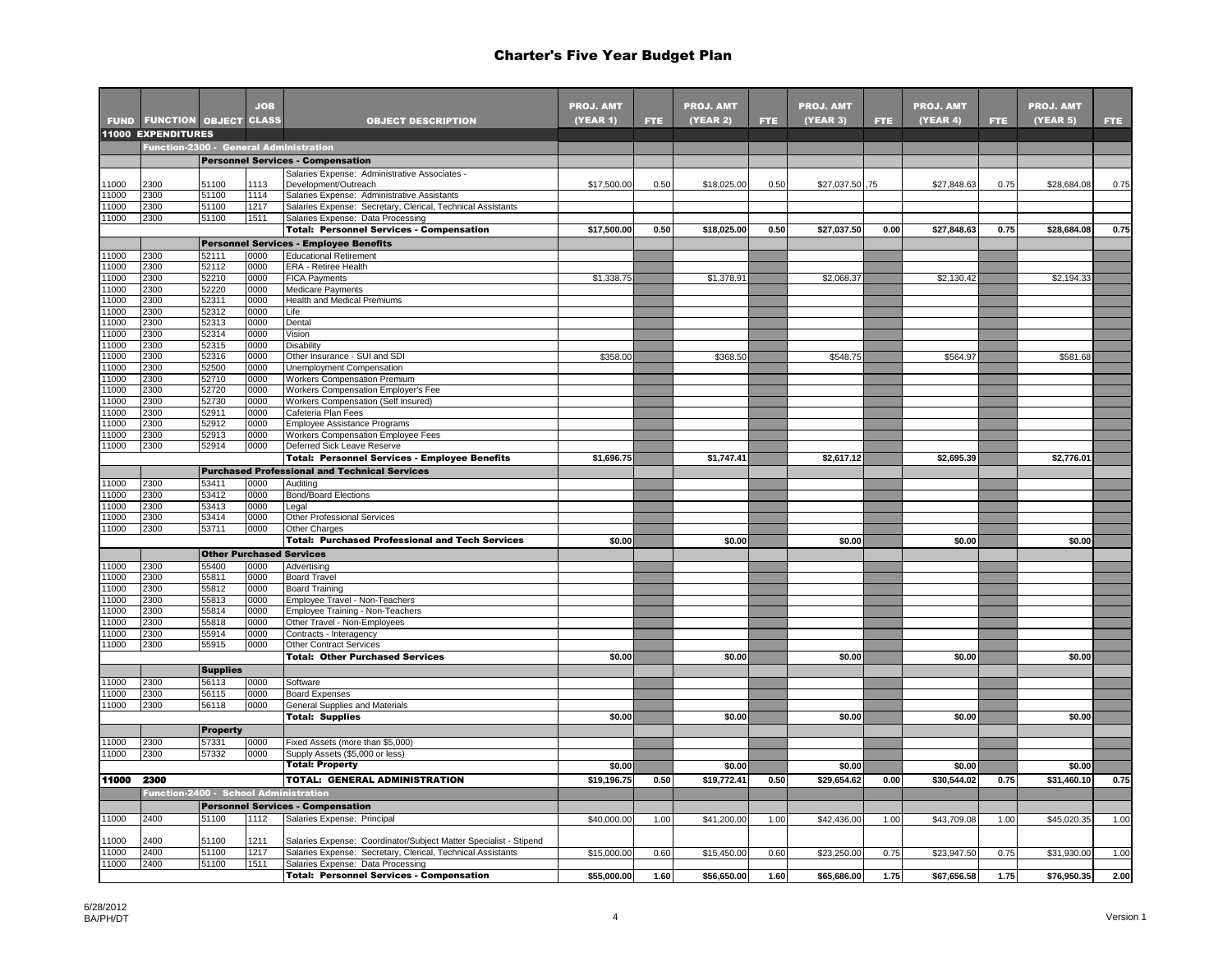|                |                                        |                                 | <b>JOB</b>   |                                                                     |                              |            |                                     |      |                                     |      |                              |      |                                     |      |
|----------------|----------------------------------------|---------------------------------|--------------|---------------------------------------------------------------------|------------------------------|------------|-------------------------------------|------|-------------------------------------|------|------------------------------|------|-------------------------------------|------|
|                | <b>FUND FUNCTION OBJECT CLASS</b>      |                                 |              | <b>OBJECT DESCRIPTION</b>                                           | <b>PROJ. AMT</b><br>(YEAR 1) | <b>FTE</b> | <b>PROJ. AMT</b><br><b>(YEAR 2)</b> | FTE. | <b>PROJ. AMT</b><br><b>(YEAR 3)</b> | FTE. | <b>PROJ. AMT</b><br>(YEAR 4) | FTE. | <b>PROJ. AMT</b><br><b>(YEAR 5)</b> | FTE. |
|                | <b>11000 EXPENDITURES</b>              |                                 |              |                                                                     |                              |            |                                     |      |                                     |      |                              |      |                                     |      |
|                | Function-2300 - General Administration |                                 |              |                                                                     |                              |            |                                     |      |                                     |      |                              |      |                                     |      |
|                |                                        |                                 |              | <b>Personnel Services - Compensation</b>                            |                              |            |                                     |      |                                     |      |                              |      |                                     |      |
|                |                                        |                                 |              | Salaries Expense: Administrative Associates -                       |                              |            |                                     |      |                                     |      |                              |      |                                     |      |
| 11000<br>11000 | 2300<br>2300                           | 51100<br>51100                  | 1113<br>1114 | Development/Outreach<br>Salaries Expense: Administrative Assistants | \$17,500.00                  | 0.50       | \$18,025.00                         | 0.50 | \$27,037.50,75                      |      | \$27,848.63                  | 0.75 | \$28,684.08                         | 0.75 |
| 11000          | 2300                                   | 51100                           | 1217         | Salaries Expense: Secretary, Clerical, Technical Assistants         |                              |            |                                     |      |                                     |      |                              |      |                                     |      |
| 11000          | 2300                                   | 51100                           | 1511         | Salaries Expense: Data Processing                                   |                              |            |                                     |      |                                     |      |                              |      |                                     |      |
|                |                                        |                                 |              | <b>Total: Personnel Services - Compensation</b>                     | \$17,500.00                  | 0.50       | \$18,025.00                         | 0.50 | \$27,037.50                         | 0.00 | \$27,848.63                  | 0.75 | \$28,684.08                         | 0.75 |
|                |                                        |                                 |              | Personnel Services - Employee Benefits                              |                              |            |                                     |      |                                     |      |                              |      |                                     |      |
| 11000<br>11000 | 2300<br>2300                           | 52111<br>52112                  | 0000<br>0000 | <b>Educational Retirement</b><br>ERA - Retiree Health               |                              |            |                                     |      |                                     |      |                              |      |                                     |      |
| 11000          | 2300                                   | 52210                           | 0000         | <b>FICA Payments</b>                                                | \$1,338.75                   |            | \$1,378.91                          |      | \$2,068.37                          |      | \$2,130.42                   |      | \$2,194.33                          |      |
| 11000          | 2300                                   | 52220                           | 0000         | <b>Medicare Payments</b>                                            |                              |            |                                     |      |                                     |      |                              |      |                                     |      |
| 11000          | 2300                                   | 52311                           | 0000         | Health and Medical Premiums                                         |                              |            |                                     |      |                                     |      |                              |      |                                     |      |
| 11000          | 2300                                   | 52312                           | 0000         | Life                                                                |                              |            |                                     |      |                                     |      |                              |      |                                     |      |
| 11000          | 2300                                   | 52313<br>52314                  | 0000<br>0000 | Dental                                                              |                              |            |                                     |      |                                     |      |                              |      |                                     |      |
| 11000<br>11000 | 2300<br>2300                           | 52315                           | 0000         | Vision<br><b>Disability</b>                                         |                              |            |                                     |      |                                     |      |                              |      |                                     |      |
| 11000          | 2300                                   | 52316                           | 0000         | Other Insurance - SUI and SDI                                       | \$358.00                     |            | \$368.50                            |      | \$548.75                            |      | \$564.97                     |      | \$581.68                            |      |
| 11000          | 2300                                   | 52500                           | 000          | Unemployment Compensation                                           |                              |            |                                     |      |                                     |      |                              |      |                                     |      |
| 11000          | 2300                                   | 52710                           | 0000         | <b>Workers Compensation Premium</b>                                 |                              |            |                                     |      |                                     |      |                              |      |                                     |      |
| 11000<br>11000 | 2300                                   | 52720                           | 0000         | Workers Compensation Employer's Fee                                 |                              |            |                                     |      |                                     |      |                              |      |                                     |      |
| 11000          | 2300<br>2300                           | 52730<br>52911                  | 0000<br>0000 | Workers Compensation (Self Insured)<br>Cafeteria Plan Fees          |                              |            |                                     |      |                                     |      |                              |      |                                     |      |
| 11000          | 2300                                   | 52912                           | 0000         | Employee Assistance Programs                                        |                              |            |                                     |      |                                     |      |                              |      |                                     |      |
| 11000          | 2300                                   | 52913                           | 0000         | Workers Compensation Employee Fees                                  |                              |            |                                     |      |                                     |      |                              |      |                                     |      |
| 11000          | 2300                                   | 52914                           | 0000         | Deferred Sick Leave Reserve                                         |                              |            |                                     |      |                                     |      |                              |      |                                     |      |
|                |                                        |                                 |              | <b>Total: Personnel Services - Employee Benefits</b>                | \$1.696.75                   |            | \$1.747.41                          |      | \$2.617.12                          |      | \$2.695.39                   |      | \$2,776.01                          |      |
|                |                                        |                                 |              | Purchased Professional and Technical Services                       |                              |            |                                     |      |                                     |      |                              |      |                                     |      |
| 11000          | 2300                                   | 53411                           | 0000         | Auditing                                                            |                              |            |                                     |      |                                     |      |                              |      |                                     |      |
| 11000<br>11000 | 2300<br>2300                           | 53412<br>53413                  | 0000<br>0000 | <b>Bond/Board Elections</b><br>Legal                                |                              |            |                                     |      |                                     |      |                              |      |                                     |      |
| 11000          | 2300                                   | 53414                           | 0000         | Other Professional Services                                         |                              |            |                                     |      |                                     |      |                              |      |                                     |      |
| 11000          | 2300                                   | 53711                           | 0000         | Other Charges                                                       |                              |            |                                     |      |                                     |      |                              |      |                                     |      |
|                |                                        |                                 |              | <b>Total: Purchased Professional and Tech Services</b>              | \$0.00                       |            | \$0.00                              |      | \$0.00                              |      | \$0.00                       |      | \$0.00                              |      |
|                |                                        | <b>Other Purchased Services</b> |              |                                                                     |                              |            |                                     |      |                                     |      |                              |      |                                     |      |
| 11000          | 2300                                   | 55400                           | 0000         | Advertising                                                         |                              |            |                                     |      |                                     |      |                              |      |                                     |      |
| 11000          | 2300                                   | 55811                           | 0000         | <b>Board Travel</b>                                                 |                              |            |                                     |      |                                     |      |                              |      |                                     |      |
| 11000<br>11000 | 2300<br>2300                           | 55812<br>55813                  | 0000<br>0000 | <b>Board Training</b><br>Employee Travel - Non-Teachers             |                              |            |                                     |      |                                     |      |                              |      |                                     |      |
| 11000          | 2300                                   | 55814                           | 0000         | Employee Training - Non-Teachers                                    |                              |            |                                     |      |                                     |      |                              |      |                                     |      |
| 11000          | 2300                                   | 55818                           | 0000         | Other Travel - Non-Employees                                        |                              |            |                                     |      |                                     |      |                              |      |                                     |      |
| 11000          | 2300                                   | 55914                           | 0000         | Contracts - Interagency                                             |                              |            |                                     |      |                                     |      |                              |      |                                     |      |
| 11000          | 2300                                   | 55915                           | 0000         | <b>Other Contract Services</b>                                      |                              |            |                                     |      |                                     |      |                              |      |                                     |      |
|                |                                        |                                 |              | <b>Total: Other Purchased Services</b>                              | \$0.00                       |            | \$0.00                              |      | \$0.00                              |      | \$0.00                       |      | \$0.00                              |      |
|                |                                        | <b>Supplies</b><br>56113        |              |                                                                     |                              |            |                                     |      |                                     |      |                              |      |                                     |      |
| 11000<br>11000 | 2300<br>2300                           | 56115                           | 0000<br>0000 | Software<br><b>Board Expenses</b>                                   |                              |            |                                     |      |                                     |      |                              |      |                                     |      |
| 11000          | 2300                                   | 56118                           | 0000         | General Supplies and Materials                                      |                              |            |                                     |      |                                     |      |                              |      |                                     |      |
|                |                                        |                                 |              | <b>Total: Supplies</b>                                              | \$0.00                       |            | \$0.00                              |      | \$0.00                              |      | \$0.00                       |      | \$0.00                              |      |
|                |                                        | <b>Property</b>                 |              |                                                                     |                              |            |                                     |      |                                     |      |                              |      |                                     |      |
| 11000          | 2300                                   | 57331                           | 0000         | Fixed Assets (more than \$5,000)                                    |                              |            |                                     |      |                                     |      |                              |      |                                     |      |
| 11000          | 2300                                   | 57332                           | 0000         | Supply Assets (\$5,000 or less)                                     |                              |            |                                     |      |                                     |      |                              |      |                                     |      |
|                |                                        |                                 |              | <b>Total: Property</b>                                              | \$0.00                       |            | \$0.00                              |      | \$0.00                              |      | \$0.00                       |      | \$0.00                              |      |
| 11000          | 2300                                   |                                 |              | <b>TOTAL: GENERAL ADMINISTRATION</b>                                | \$19,196.75                  | 0.50       | \$19,772.41                         | 0.50 | \$29,654.62                         | 0.00 | \$30,544.02                  | 0.75 | \$31,460.10                         | 0.75 |
|                | Function-2400 - School Administration  |                                 |              |                                                                     |                              |            |                                     |      |                                     |      |                              |      |                                     |      |
|                |                                        |                                 |              | <b>Personnel Services - Compensation</b>                            |                              |            |                                     |      |                                     |      |                              |      |                                     |      |
| 11000          | 2400                                   | 51100                           | 1112         | Salaries Expense: Principal                                         | \$40,000.00                  | 1.00       | \$41,200.00                         | 1.00 | \$42,436.00                         | 1.00 | \$43,709.08                  | 1.00 | \$45,020.35                         | 1.00 |
| 1000           | 2400                                   | 51100                           | 1211         | Salaries Expense: Coordinator/Subject Matter Specialist - Stipend   |                              |            |                                     |      |                                     |      |                              |      |                                     |      |
| 11000          | 2400                                   | 51100                           | 1217         | Salaries Expense: Secretary, Clerical, Technical Assistants         | \$15,000.00                  | 0.60       | \$15,450.00                         | 0.60 | \$23,250.00                         | 0.75 | \$23,947.50                  | 0.75 | \$31,930.00                         | 1.00 |
| 11000          | 2400                                   | 51100                           | 1511         | Salaries Expense: Data Processing                                   |                              |            |                                     |      |                                     |      |                              |      |                                     |      |
|                |                                        |                                 |              | <b>Total: Personnel Services - Compensation</b>                     | \$55,000.00                  | 1.60       | \$56,650.00                         | 1.60 | \$65,686.00                         | 1.75 | \$67,656.58                  | 1.75 | \$76,950.35                         | 2.00 |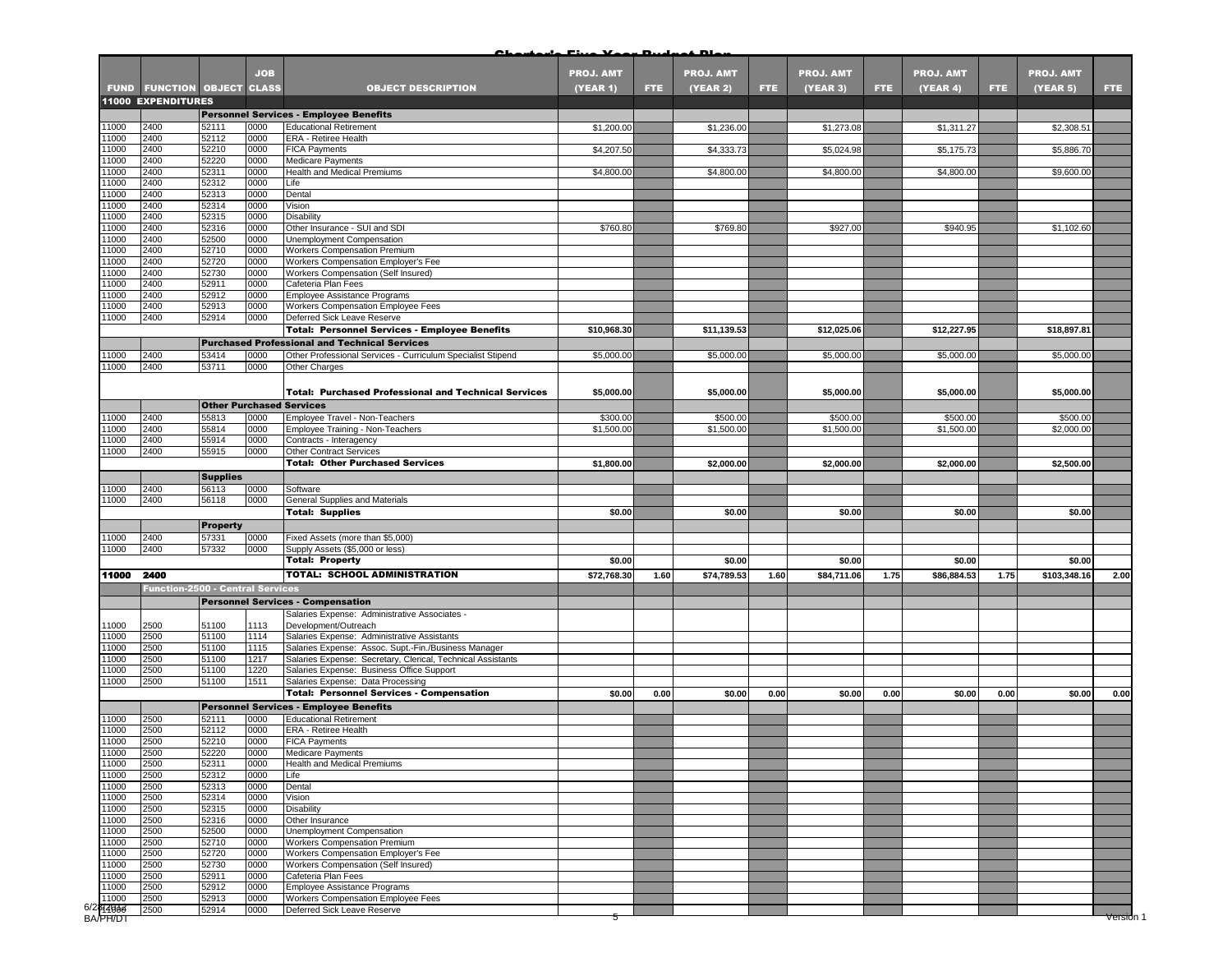|                |                                         |                 | <b>JOB</b>   | ماسمنسميات                                                                          | مملئا بالمعيادين الممكن مبيناته<br><b>PROJ. AMT</b> |      | <b>PROJ. AMT</b> |            | <b>PROJ. AMT</b> |      | <b>PROJ. AMT</b> |            | <b>PROJ. AMT</b> |                       |
|----------------|-----------------------------------------|-----------------|--------------|-------------------------------------------------------------------------------------|-----------------------------------------------------|------|------------------|------------|------------------|------|------------------|------------|------------------|-----------------------|
|                | <b>FUND FUNCTION OBJECT</b>             |                 | <b>CLASS</b> | <b>OBJECT DESCRIPTION</b>                                                           | (YEAR 1)                                            | FTE: | (YEAR 2)         | <b>FTE</b> | (YEAR 3)         | FTE. | (YEAR 4)         | <b>FTE</b> | <b>(YEAR 5)</b>  | FTE                   |
|                | <b>11000 EXPENDITURES</b>               |                 |              |                                                                                     |                                                     |      |                  |            |                  |      |                  |            |                  |                       |
| 11000          | 2400                                    | 52111           | 0000         | <b>Personnel Services - Employee Benefits</b><br><b>Educational Retirement</b>      | \$1,200.00                                          |      | \$1,236.00       |            | \$1,273.08       |      | \$1,311.27       |            | \$2,308.51       |                       |
| 11000          | 2400                                    | 52112           | 0000         | ERA - Retiree Health                                                                |                                                     |      |                  |            |                  |      |                  |            |                  |                       |
| 11000          | 2400                                    | 52210           | 0000         | <b>FICA Payments</b>                                                                | \$4,207.50                                          |      | \$4,333.73       |            | \$5,024.98       |      | \$5,175.73       |            | \$5,886.70       |                       |
| 11000<br>11000 | 2400<br>2400                            | 52220<br>52311  | 0000<br>0000 | <b>Medicare Payments</b><br>Health and Medical Premiums                             | \$4,800.00                                          |      | \$4,800.00       |            | \$4,800.00       |      | \$4,800.00       |            | \$9,600.00       |                       |
| 11000          | 2400                                    | 52312           | 0000         | Life                                                                                |                                                     |      |                  |            |                  |      |                  |            |                  |                       |
| 11000          | 2400                                    | 52313           | 0000         | Dental                                                                              |                                                     |      |                  |            |                  |      |                  |            |                  |                       |
| 11000          | 2400                                    | 52314           | 0000         | Vision                                                                              |                                                     |      |                  |            |                  |      |                  |            |                  |                       |
| 11000<br>11000 | 2400<br>2400                            | 52315<br>52316  | 0000<br>0000 | Disability<br>Other Insurance - SUI and SDI                                         | \$760.80                                            |      | \$769.80         |            | \$927.00         |      | \$940.95         |            | \$1,102.60       |                       |
| 11000          | 2400                                    | 52500           | 0000         | Unemployment Compensation                                                           |                                                     |      |                  |            |                  |      |                  |            |                  |                       |
| 11000          | 2400                                    | 52710           | 0000         | Workers Compensation Premium                                                        |                                                     |      |                  |            |                  |      |                  |            |                  |                       |
| 11000<br>11000 | 2400<br>2400                            | 52720<br>52730  | 0000<br>0000 | Workers Compensation Employer's Fee<br>Workers Compensation (Self Insured)          |                                                     |      |                  |            |                  |      |                  |            |                  |                       |
| 11000          | 2400                                    | 52911           | 0000         | Cafeteria Plan Fees                                                                 |                                                     |      |                  |            |                  |      |                  |            |                  |                       |
| 11000          | 2400                                    | 52912           | 0000         | Employee Assistance Programs                                                        |                                                     |      |                  |            |                  |      |                  |            |                  |                       |
| 11000          | 2400                                    | 52913           | 0000         | Workers Compensation Employee Fees                                                  |                                                     |      |                  |            |                  |      |                  |            |                  |                       |
| 11000          | 2400                                    | 52914           | 0000         | Deferred Sick Leave Reserve<br><b>Total: Personnel Services - Employee Benefits</b> | \$10,968.30                                         |      | \$11,139.53      |            | \$12,025.06      |      | \$12,227.95      |            | \$18,897.81      |                       |
|                |                                         |                 |              | <b>Purchased Professional and Technical Services</b>                                |                                                     |      |                  |            |                  |      |                  |            |                  |                       |
| 11000          | 2400                                    | 53414           | 0000         | Other Professional Services - Curriculum Specialist Stipend                         | \$5,000.00                                          |      | \$5,000.00       |            | \$5,000.00       |      | \$5,000.00       |            | \$5,000.00       |                       |
| 11000          | 2400                                    | 53711           | 0000         | Other Charges                                                                       |                                                     |      |                  |            |                  |      |                  |            |                  |                       |
|                |                                         |                 |              | <b>Total: Purchased Professional and Technical Services</b>                         | \$5,000.00                                          |      | \$5,000.00       |            | \$5,000.00       |      | \$5,000.00       |            | \$5,000.00       |                       |
|                |                                         |                 |              | <b>Other Purchased Services</b>                                                     |                                                     |      |                  |            |                  |      |                  |            |                  |                       |
| 11000          | 2400                                    | 55813           | 0000         | Employee Travel - Non-Teachers                                                      | \$300.00                                            |      | \$500.00         |            | \$500.00         |      | \$500.00         |            | \$500.00         |                       |
| 11000<br>11000 | 2400<br>2400                            | 55814<br>55914  | 0000<br>0000 | Employee Training - Non-Teachers<br>Contracts - Interagency                         | \$1,500.00                                          |      | \$1,500.00       |            | \$1,500.00       |      | \$1,500.00       |            | \$2,000.00       |                       |
| 11000          | 2400                                    | 55915           | 0000         | <b>Other Contract Services</b>                                                      |                                                     |      |                  |            |                  |      |                  |            |                  |                       |
|                |                                         |                 |              | <b>Total: Other Purchased Services</b>                                              | \$1,800.00                                          |      | \$2,000.00       |            | \$2.000.00       |      | \$2,000.00       |            | \$2,500.00       |                       |
|                |                                         | <b>Supplies</b> |              |                                                                                     |                                                     |      |                  |            |                  |      |                  |            |                  |                       |
| 11000          | 2400                                    | 56113           | 0000         | Software                                                                            |                                                     |      |                  |            |                  |      |                  |            |                  |                       |
| 11000          | 2400                                    | 56118           | 0000         | <b>General Supplies and Materials</b><br><b>Total: Supplies</b>                     |                                                     |      |                  |            |                  |      |                  |            |                  |                       |
|                |                                         | <b>Property</b> |              |                                                                                     | \$0.00                                              |      | \$0.00           |            | \$0.00           |      | \$0.00           |            | \$0.00           |                       |
| 11000          | 2400                                    | 57331           | 0000         | Fixed Assets (more than \$5,000)                                                    |                                                     |      |                  |            |                  |      |                  |            |                  |                       |
| 11000          | 2400                                    | 57332           | 0000         | Supply Assets (\$5,000 or less)                                                     |                                                     |      |                  |            |                  |      |                  |            |                  |                       |
|                |                                         |                 |              | <b>Total: Property</b>                                                              | \$0.00                                              |      | \$0.00           |            | \$0.00           |      | \$0.00           |            | \$0.00           |                       |
| 11000 2400     |                                         |                 |              | <b>TOTAL: SCHOOL ADMINISTRATION</b>                                                 | \$72,768.30                                         | 1.60 | \$74,789.53      | 1.60       | \$84,711.06      | 1.75 | \$86,884.53      | 1.75       | \$103,348.16     | 2.00                  |
|                | <b>Function-2500 - Central Services</b> |                 |              |                                                                                     |                                                     |      |                  |            |                  |      |                  |            |                  |                       |
|                |                                         |                 |              | <b>Personnel Services - Compensation</b>                                            |                                                     |      |                  |            |                  |      |                  |            |                  |                       |
| 11000          | 2500                                    | 51100           | 1113         | Salaries Expense: Administrative Associates -<br>Development/Outreach               |                                                     |      |                  |            |                  |      |                  |            |                  |                       |
| 11000          | 2500                                    | 51100           | 1114         | Salaries Expense: Administrative Assistants                                         |                                                     |      |                  |            |                  |      |                  |            |                  |                       |
| 11000          | 2500                                    | 51100           | 1115         | Salaries Expense: Assoc. Supt.-Fin./Business Manager                                |                                                     |      |                  |            |                  |      |                  |            |                  |                       |
| 11000          | 2500                                    | 51100           | 1217         | Salaries Expense: Secretary, Clerical, Technical Assistants                         |                                                     |      |                  |            |                  |      |                  |            |                  |                       |
| 11000<br>11000 | 2500<br>2500                            | 51100<br>51100  | 1220<br>1511 | Salaries Expense: Business Office Support<br>Salaries Expense: Data Processing      |                                                     |      |                  |            |                  |      |                  |            |                  |                       |
|                |                                         |                 |              | <b>Total: Personnel Services - Compensation</b>                                     | \$0.00                                              | 0.00 | \$0.00           | 0.00       | \$0.00           | 0.00 | \$0.00           | 0.00       | \$0.00           | 0.00                  |
|                |                                         |                 |              | <b>Personnel Services - Employee Benefits</b>                                       |                                                     |      |                  |            |                  |      |                  |            |                  |                       |
| 11000          | 2500                                    | 52111           | 0000         | <b>Educational Retirement</b>                                                       |                                                     |      |                  |            |                  |      |                  |            |                  |                       |
| 11000          | 2500                                    | 52112           | 0000         | ERA - Retiree Health                                                                |                                                     |      |                  |            |                  |      |                  |            |                  |                       |
| 11000          | 2500                                    | 52210           | 0000         | <b>FICA Payments</b>                                                                |                                                     |      |                  |            |                  |      |                  |            |                  |                       |
| 11000<br>11000 | 2500<br>2500                            | 52220<br>52311  | 0000<br>0000 | <b>Medicare Payments</b><br>Health and Medical Premiums                             |                                                     |      |                  |            |                  |      |                  |            |                  |                       |
| 11000          | 2500                                    | 52312           | 0000         | Life                                                                                |                                                     |      |                  |            |                  |      |                  |            |                  |                       |
| 11000          | 2500                                    | 52313           | 0000         | Dental                                                                              |                                                     |      |                  |            |                  |      |                  |            |                  |                       |
| 11000          | 2500<br>2500                            | 52314<br>52315  | 0000         | Vision                                                                              |                                                     |      |                  |            |                  |      |                  |            |                  |                       |
| 11000<br>11000 | 2500                                    | 52316           | 0000<br>0000 | Disability<br>Other Insurance                                                       |                                                     |      |                  |            |                  |      |                  |            |                  |                       |
| 11000          | 2500                                    | 52500           | 0000         | Unemployment Compensation                                                           |                                                     |      |                  |            |                  |      |                  |            |                  |                       |
| 11000          | 2500                                    | 52710           | 0000         | Workers Compensation Premium                                                        |                                                     |      |                  |            |                  |      |                  |            |                  |                       |
| 11000          | 2500                                    | 52720           | 0000         | Workers Compensation Employer's Fee                                                 |                                                     |      |                  |            |                  |      |                  |            |                  |                       |
| 11000<br>11000 | 2500<br>2500                            | 52730<br>52911  | 0000<br>0000 | Workers Compensation (Self Insured)<br>Cafeteria Plan Fees                          |                                                     |      |                  |            |                  |      |                  |            |                  |                       |
| 11000          | 2500                                    | 52912           | 0000         | Employee Assistance Programs                                                        |                                                     |      |                  |            |                  |      |                  |            |                  |                       |
| 11000          | 2500                                    | 52913           | 0000         | Workers Compensation Employee Fees                                                  |                                                     |      |                  |            |                  |      |                  |            |                  |                       |
| 6/2874008      | 2500                                    | 52914           | 0000         | Deferred Sick Leave Reserve                                                         |                                                     |      |                  |            |                  |      |                  |            |                  | <del>Versio</del> n 1 |
| BA/PH/DT       |                                         |                 |              |                                                                                     |                                                     |      |                  |            |                  |      |                  |            |                  |                       |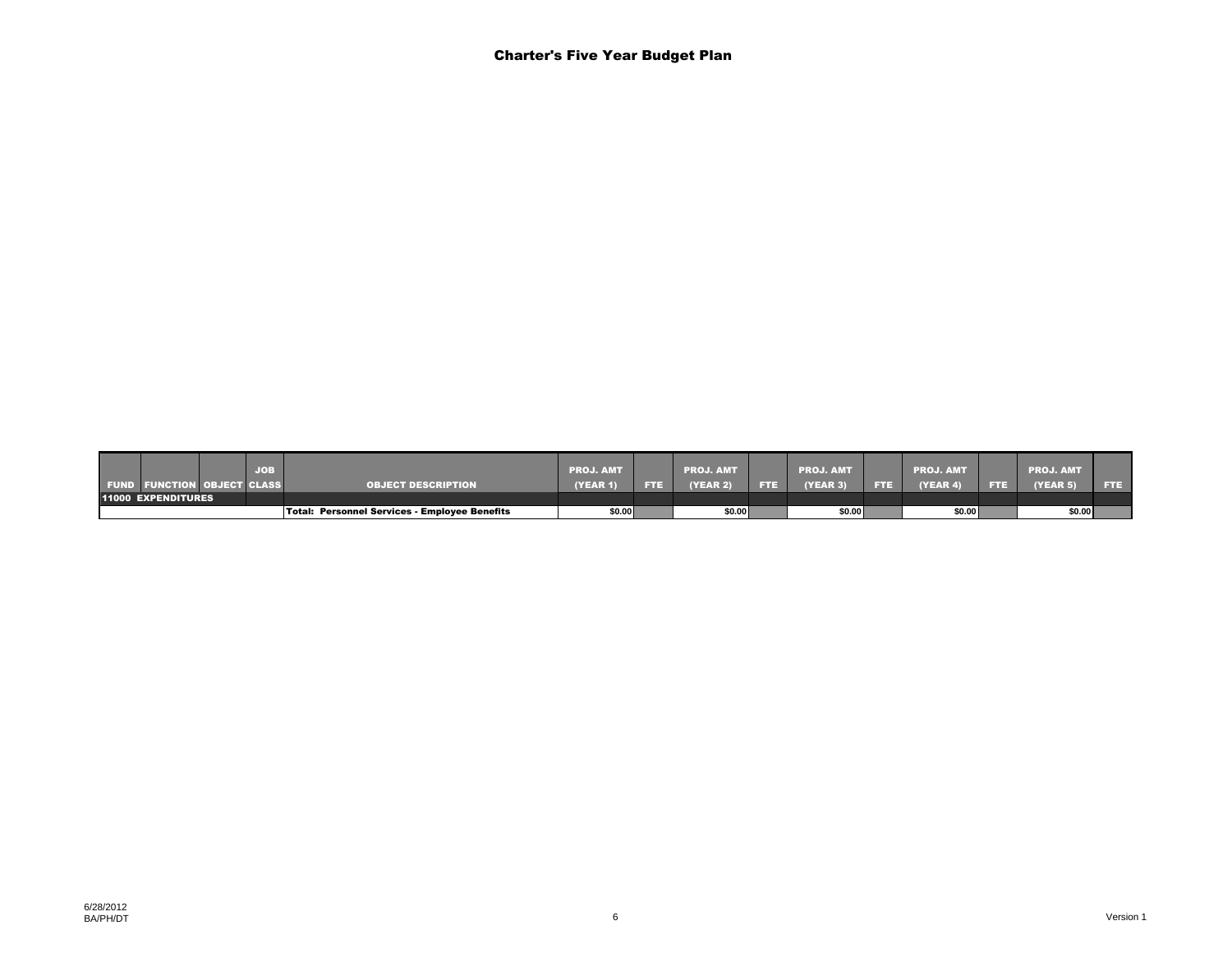| <b>FUND FUNCTION OBJECT CLASS</b> |  | <b>JOB</b> | <b>OBJECT DESCRIPTION</b>                     | <b>PROJ. AMT</b><br><b>(YEAR 1)</b> | FTE. | <b>PROJ. AMT</b><br>(YEAR 2) | <b>FTE</b> | <b>PROJ. AMT</b><br><b>(YEAR 3)</b> | <b>ETE</b> | <b>PROJ. AMT</b><br>(YEAR 4) | <b>FTE</b> | <b>PROJ. AMT</b><br>(YEAR 5) | FTE. |
|-----------------------------------|--|------------|-----------------------------------------------|-------------------------------------|------|------------------------------|------------|-------------------------------------|------------|------------------------------|------------|------------------------------|------|
| <b>11000 EXPENDITURES</b>         |  |            |                                               |                                     |      |                              |            |                                     |            |                              |            |                              |      |
|                                   |  |            | Total: Personnel Services - Employee Benefits | \$0.00                              |      | \$0.00                       |            | \$0.00                              |            | \$0.00                       |            | \$0.00                       |      |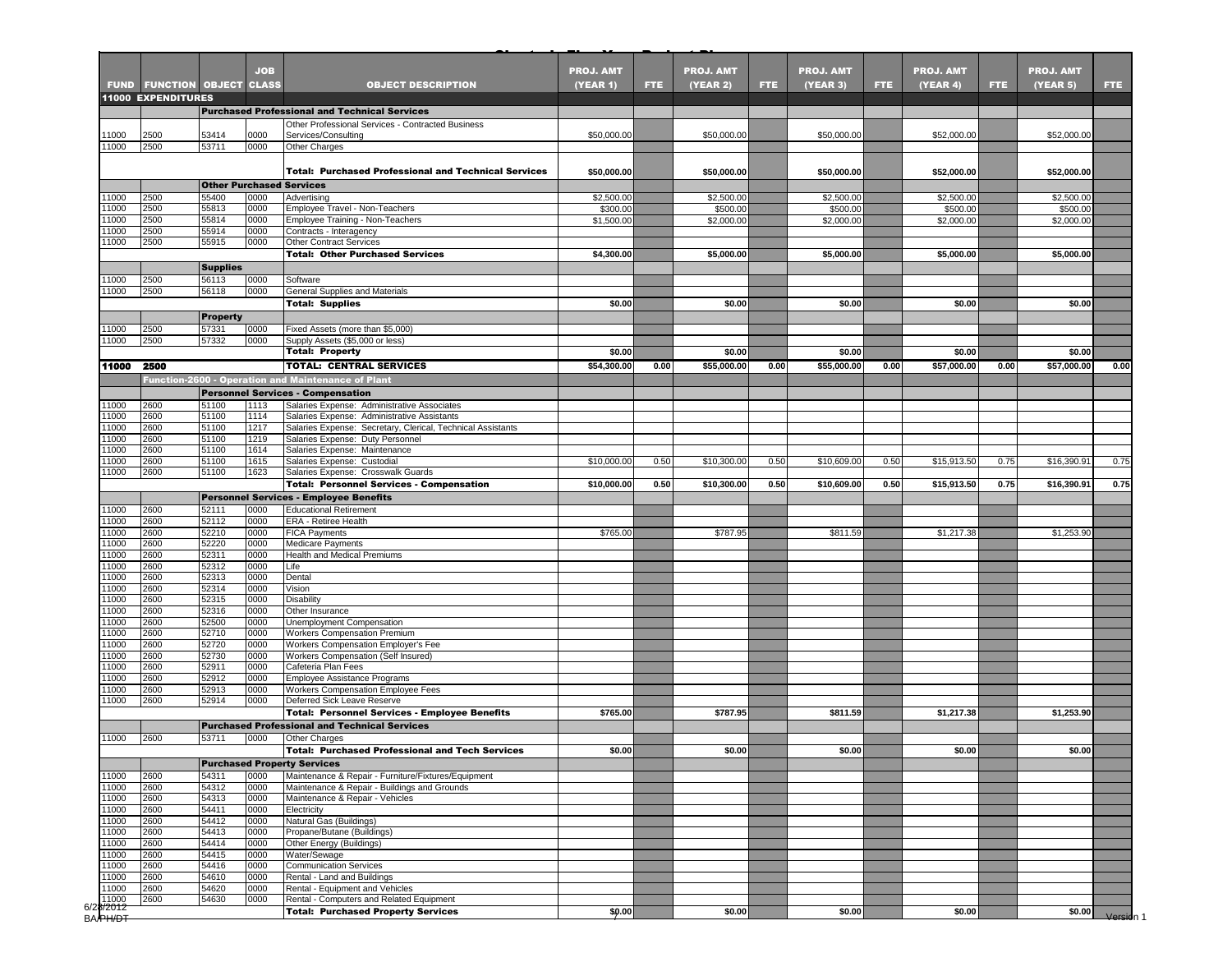|                       | <b>FUND FUNCTION OBJECT</b> |                 | <b>JOB</b><br><b>CLASS</b> | <b>OBJECT DESCRIPTION</b>                                                                                    | <b>PROJ. AMT</b><br>(YEAR 1) | FTE. | <b>PROJ. AMT</b><br>(YEAR 2) | FTE. | <b>PROJ. AMT</b><br>(YEAR 3) | <b>FTE</b> | <b>PROJ. AMT</b><br>(YEAR 4) | <b>FTE</b> | <b>PROJ. AMT</b><br><b>(YEAR 5)</b> | FTE.      |
|-----------------------|-----------------------------|-----------------|----------------------------|--------------------------------------------------------------------------------------------------------------|------------------------------|------|------------------------------|------|------------------------------|------------|------------------------------|------------|-------------------------------------|-----------|
|                       | <b>11000 EXPENDITURES</b>   |                 |                            |                                                                                                              |                              |      |                              |      |                              |            |                              |            |                                     |           |
|                       |                             |                 |                            | <b>Purchased Professional and Technical Services</b><br>Other Professional Services - Contracted Business    |                              |      |                              |      |                              |            |                              |            |                                     |           |
| 11000                 | 2500                        | 53414           | 0000                       | Services/Consulting                                                                                          | \$50,000.00                  |      | \$50,000.00                  |      | \$50,000.00                  |            | \$52,000.00                  |            | \$52,000.00                         |           |
| 11000                 | 2500                        | 53711           | 0000                       | Other Charges                                                                                                |                              |      |                              |      |                              |            |                              |            |                                     |           |
|                       |                             |                 |                            | <b>Total: Purchased Professional and Technical Services</b>                                                  | \$50,000.00                  |      | \$50,000.00                  |      | \$50,000.00                  |            | \$52,000.00                  |            | \$52,000.00                         |           |
|                       |                             |                 |                            | <b>Other Purchased Services</b>                                                                              |                              |      |                              |      |                              |            |                              |            |                                     |           |
| 11000<br>11000        | 2500<br>2500                | 55400<br>55813  | 0000<br>0000               | Advertising<br>Employee Travel - Non-Teachers                                                                | \$2,500.00<br>\$300.00       |      | \$2,500.00<br>\$500.00       |      | \$2,500.00<br>\$500.00       |            | \$2,500.00<br>\$500.00       |            | \$2,500.00<br>\$500.00              |           |
| 11000                 | 2500                        | 55814           | 0000                       | Employee Training - Non-Teachers                                                                             | \$1,500.00                   |      | \$2,000.00                   |      | \$2,000.00                   |            | \$2,000.00                   |            | \$2,000.00                          |           |
| 11000                 | 2500                        | 55914           | 0000                       | Contracts - Interagency                                                                                      |                              |      |                              |      |                              |            |                              |            |                                     |           |
| 11000                 | 2500                        | 55915           | 0000                       | <b>Other Contract Services</b>                                                                               |                              |      |                              |      |                              |            |                              |            |                                     |           |
|                       |                             |                 |                            | <b>Total: Other Purchased Services</b>                                                                       | \$4,300.00                   |      | \$5,000.00                   |      | \$5,000.00                   |            | \$5,000.00                   |            | \$5,000.00                          |           |
|                       |                             | <b>Supplies</b> |                            |                                                                                                              |                              |      |                              |      |                              |            |                              |            |                                     |           |
| 11000<br>11000        | 2500<br>2500                | 56113<br>56118  | 0000<br>0000               | Software<br>General Supplies and Materials                                                                   |                              |      |                              |      |                              |            |                              |            |                                     |           |
|                       |                             |                 |                            | <b>Total: Supplies</b>                                                                                       | \$0.00                       |      | \$0.00                       |      | \$0.00                       |            | \$0.00                       |            | \$0.00                              |           |
|                       |                             | <b>Property</b> |                            |                                                                                                              |                              |      |                              |      |                              |            |                              |            |                                     |           |
| 11000                 | 2500                        | 57331           | 0000                       | Fixed Assets (more than \$5,000)                                                                             |                              |      |                              |      |                              |            |                              |            |                                     |           |
| 11000                 | 2500                        | 57332           | 0000                       | Supply Assets (\$5,000 or less)                                                                              |                              |      |                              |      |                              |            |                              |            |                                     |           |
|                       |                             |                 |                            | <b>Total: Property</b>                                                                                       | \$0.00                       |      | \$0.00                       |      | \$0.00                       |            | \$0.00                       |            | \$0.00                              |           |
| 11000                 | 2500                        |                 |                            | <b>TOTAL: CENTRAL SERVICES</b>                                                                               | \$54,300.00                  | 0.00 | \$55,000.00                  | 0.00 | \$55,000.00                  | 0.00       | \$57,000.00                  | 0.00       | \$57,000.00                         | 0.00      |
|                       |                             |                 |                            | Function-2600 - Operation and Maintenance of Plant                                                           |                              |      |                              |      |                              |            |                              |            |                                     |           |
|                       |                             |                 |                            | <b>Personnel Services - Compensation</b>                                                                     |                              |      |                              |      |                              |            |                              |            |                                     |           |
| 11000                 | 2600                        | 51100           | 1113                       | Salaries Expense: Administrative Associates                                                                  |                              |      |                              |      |                              |            |                              |            |                                     |           |
| 11000<br>11000        | 2600<br>2600                | 51100<br>51100  | 1114<br>1217               | Salaries Expense: Administrative Assistants<br>Salaries Expense: Secretary, Clerical, Technical Assistants   |                              |      |                              |      |                              |            |                              |            |                                     |           |
| 11000                 | 2600                        | 51100           | 1219                       | Salaries Expense: Duty Personnel                                                                             |                              |      |                              |      |                              |            |                              |            |                                     |           |
| 11000                 | 2600                        | 51100           | 1614                       | Salaries Expense: Maintenance                                                                                |                              |      |                              |      |                              |            |                              |            |                                     |           |
| 11000                 | 2600                        | 51100           | 1615                       | Salaries Expense: Custodial                                                                                  | \$10,000.00                  | 0.50 | \$10,300.00                  | 0.50 | \$10,609.00                  | 0.50       | \$15,913.50                  | 0.75       | \$16,390.91                         | 0.75      |
| 11000                 | 2600                        | 51100           | 1623                       | Salaries Expense: Crosswalk Guards                                                                           |                              |      |                              |      |                              |            |                              |            |                                     |           |
|                       |                             |                 |                            | <b>Total: Personnel Services - Compensation</b>                                                              | \$10,000.00                  | 0.50 | \$10,300.00                  | 0.50 | \$10,609.00                  | 0.50       | \$15,913.50                  | 0.75       | \$16,390.91                         | 0.75      |
|                       |                             |                 |                            | <b>Personnel Services - Employee Benefits</b><br><b>Educational Retirement</b>                               |                              |      |                              |      |                              |            |                              |            |                                     |           |
| 11000<br>11000        | 2600<br>2600                | 52111<br>52112  | 0000<br>0000               | <b>ERA - Retiree Health</b>                                                                                  |                              |      |                              |      |                              |            |                              |            |                                     |           |
| 11000                 | 2600                        | 52210           | 0000                       | FICA Payments                                                                                                | \$765.00                     |      | \$787.95                     |      | \$811.59                     |            | \$1,217.38                   |            | \$1,253.90                          |           |
| 11000                 | 2600                        | 52220           | 0000                       | Medicare Payments                                                                                            |                              |      |                              |      |                              |            |                              |            |                                     |           |
| 11000                 | 2600                        | 52311           | 0000                       | Health and Medical Premiums                                                                                  |                              |      |                              |      |                              |            |                              |            |                                     |           |
| 11000                 | 2600                        | 52312           | 0000                       | Life                                                                                                         |                              |      |                              |      |                              |            |                              |            |                                     |           |
| 11000<br>11000        | 2600<br>2600                | 52313<br>52314  | 0000<br>0000               | Dental<br>Vision                                                                                             |                              |      |                              |      |                              |            |                              |            |                                     |           |
| 11000                 | 2600                        | 52315           | 0000                       | Disability                                                                                                   |                              |      |                              |      |                              |            |                              |            |                                     |           |
| 11000                 | 2600                        | 52316           | 0000                       | Other Insurance                                                                                              |                              |      |                              |      |                              |            |                              |            |                                     |           |
| 11000                 | 2600                        | 52500           | 0000                       | Unemployment Compensation                                                                                    |                              |      |                              |      |                              |            |                              |            |                                     |           |
| 11000                 | 2600                        | 52710           | 0000<br>0000               | Workers Compensation Premium                                                                                 |                              |      |                              |      |                              |            |                              |            |                                     |           |
| 11000<br>11000        | 2600<br>2600                | 52720<br>52730  | 0000                       | Workers Compensation Employer's Fee<br>Workers Compensation (Self Insured)                                   |                              |      |                              |      |                              |            |                              |            |                                     |           |
| 11000                 | 2600                        | 52911           | 0000                       | Cafeteria Plan Fees                                                                                          |                              |      |                              |      |                              |            |                              |            |                                     |           |
| 11000                 | 2600                        | 52912           | 0000                       | <b>Employee Assistance Programs</b>                                                                          |                              |      |                              |      |                              |            |                              |            |                                     |           |
| 11000                 | 2600                        | 52913           | 0000                       | Workers Compensation Employee Fees                                                                           |                              |      |                              |      |                              |            |                              |            |                                     |           |
| 11000                 | 2600                        | 52914           | 0000                       | Deferred Sick Leave Reserve                                                                                  | \$765.00                     |      | \$787.95                     |      | \$811.59                     |            |                              |            | \$1,253.90                          |           |
|                       |                             |                 |                            | <b>Total: Personnel Services - Employee Benefits</b><br><b>Purchased Professional and Technical Services</b> |                              |      |                              |      |                              |            | \$1,217.38                   |            |                                     |           |
| 11000                 | 2600                        | 53711           | 0000                       | Other Charges                                                                                                |                              |      |                              |      |                              |            |                              |            |                                     |           |
|                       |                             |                 |                            | Total:  Purchased Professional and Tech Services                                                             | \$0.00                       |      | \$0.00                       |      | \$0.00                       |            | \$0.00                       |            | \$0.00                              |           |
|                       |                             |                 |                            | <b>Purchased Property Services</b>                                                                           |                              |      |                              |      |                              |            |                              |            |                                     |           |
| 11000                 | 2600                        | 54311           | 0000                       | Maintenance & Repair - Furniture/Fixtures/Equipment                                                          |                              |      |                              |      |                              |            |                              |            |                                     |           |
| 11000                 | 2600                        | 54312           | 0000                       | Maintenance & Repair - Buildings and Grounds                                                                 |                              |      |                              |      |                              |            |                              |            |                                     |           |
| 11000                 | 2600                        | 54313           | 0000                       | Maintenance & Repair - Vehicles                                                                              |                              |      |                              |      |                              |            |                              |            |                                     |           |
| 11000                 | 2600                        | 54411           | 0000<br>0000               | Electricity                                                                                                  |                              |      |                              |      |                              |            |                              |            |                                     |           |
| 11000<br>11000        | 2600<br>2600                | 54412<br>54413  | 0000                       | Natural Gas (Buildings)<br>Propane/Butane (Buildings)                                                        |                              |      |                              |      |                              |            |                              |            |                                     |           |
| 11000                 | 2600                        | 54414           | 0000                       | Other Energy (Buildings)                                                                                     |                              |      |                              |      |                              |            |                              |            |                                     |           |
| 11000                 | 2600                        | 54415           | 0000                       | Water/Sewage                                                                                                 |                              |      |                              |      |                              |            |                              |            |                                     |           |
| 11000                 | 2600                        | 54416           | 0000                       | <b>Communication Services</b>                                                                                |                              |      |                              |      |                              |            |                              |            |                                     |           |
| 11000                 | 2600                        | 54610           | 0000                       | Rental - Land and Buildings                                                                                  |                              |      |                              |      |                              |            |                              |            |                                     |           |
| 11000<br>11000        | 2600<br>2600                | 54620<br>54630  | 0000<br>0000               | Rental - Equipment and Vehicles<br>Rental - Computers and Related Equipment                                  |                              |      |                              |      |                              |            |                              |            |                                     |           |
| 6/28/ <del>2012</del> |                             |                 |                            | <b>Total: Purchased Property Services</b>                                                                    | \$0.00                       |      | \$0.00                       |      | \$0.00                       |            | \$0.00                       |            | \$0.00                              |           |
| BA/PH/DT              |                             |                 |                            |                                                                                                              |                              |      |                              |      |                              |            |                              |            |                                     | Version 1 |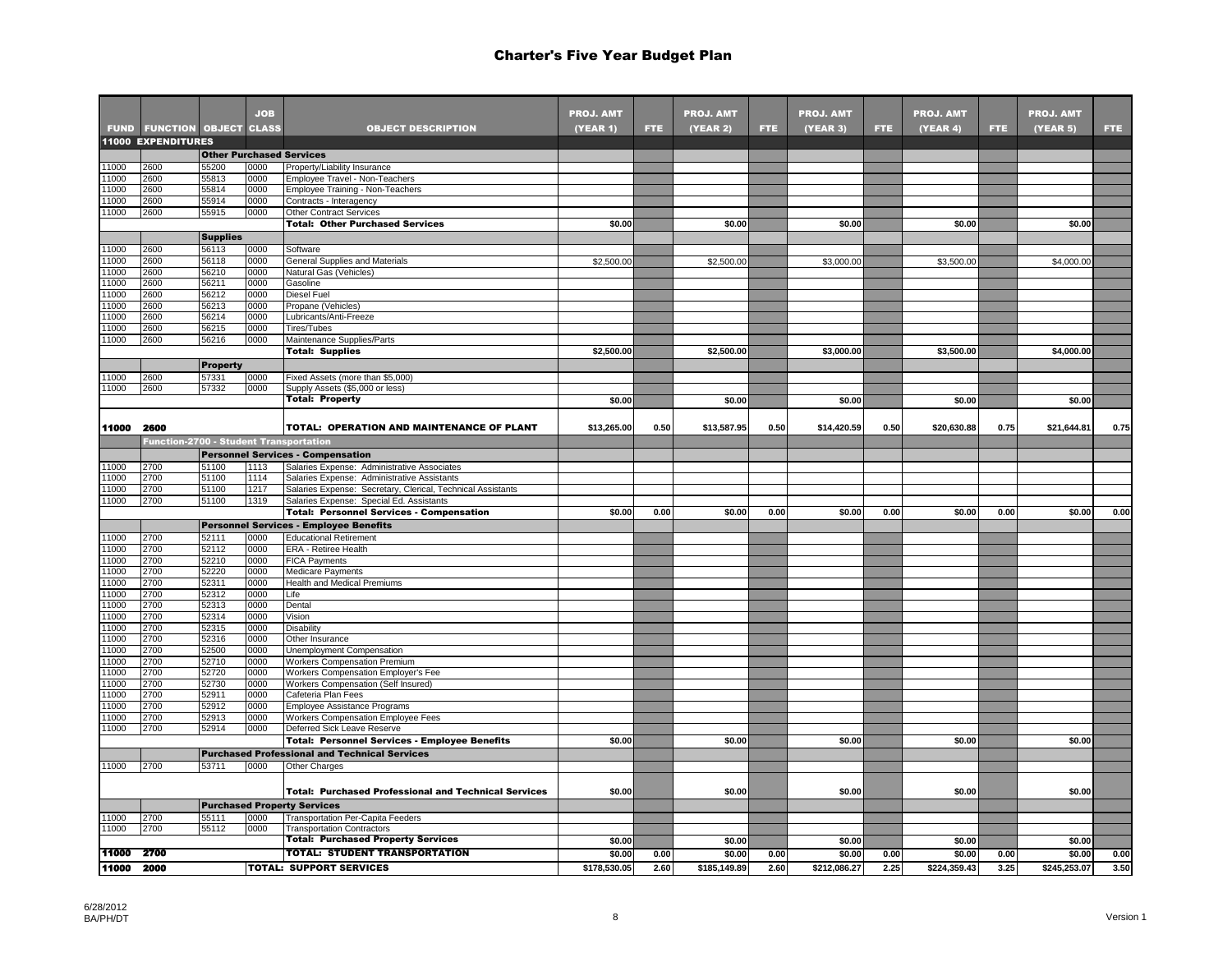|                |                                               |                 | <b>JOB</b>   |                                                                                            | <b>PROJ. AMT</b> |      | <b>PROJ. AMT</b> |      | <b>PROJ. AMT</b> |      | <b>PROJ. AMT</b> |      | <b>PROJ. AMT</b> |      |
|----------------|-----------------------------------------------|-----------------|--------------|--------------------------------------------------------------------------------------------|------------------|------|------------------|------|------------------|------|------------------|------|------------------|------|
|                | <b>FUND FUNCTION OBJECT CLASS</b>             |                 |              | <b>OBJECT DESCRIPTION</b>                                                                  | <b>(YEAR 1)</b>  | FTE. | (YEAR 2)         | FTE. | <b>(YEAR 3)</b>  | FTE. | (YEAR 4)         | FTE. | (YEAR 5)         | FTE. |
|                | <b>11000 EXPENDITURES</b>                     |                 |              |                                                                                            |                  |      |                  |      |                  |      |                  |      |                  |      |
|                |                                               |                 |              | <b>Other Purchased Services</b>                                                            |                  |      |                  |      |                  |      |                  |      |                  |      |
| 11000          | 2600                                          | 55200           | 0000         | Property/Liability Insurance                                                               |                  |      |                  |      |                  |      |                  |      |                  |      |
| 11000          | 2600                                          | 55813           | 0000         | Employee Travel - Non-Teachers                                                             |                  |      |                  |      |                  |      |                  |      |                  |      |
| 11000          | 2600                                          | 55814           | 0000         | Employee Training - Non-Teachers                                                           |                  |      |                  |      |                  |      |                  |      |                  |      |
| 1000           | 2600                                          | 55914           | 0000         | Contracts - Interagency                                                                    |                  |      |                  |      |                  |      |                  |      |                  |      |
| 1000           | 2600                                          | 55915           | 0000         | <b>Other Contract Services</b><br><b>Total: Other Purchased Services</b>                   | \$0.00           |      | \$0.00           |      | \$0.00           |      | \$0.00           |      | \$0.00           |      |
|                |                                               | <b>Supplies</b> |              |                                                                                            |                  |      |                  |      |                  |      |                  |      |                  |      |
| 1000           | 2600                                          | 56113           | 0000         | Software                                                                                   |                  |      |                  |      |                  |      |                  |      |                  |      |
| 11000          | 2600                                          | 56118           | 0000         | General Supplies and Materials                                                             | \$2,500.00       |      | \$2,500.00       |      | \$3,000.00       |      | \$3,500.00       |      | \$4,000.00       |      |
| 11000          | 2600                                          | 56210           | 0000         | Natural Gas (Vehicles)                                                                     |                  |      |                  |      |                  |      |                  |      |                  |      |
| 11000          | 2600                                          | 56211           | 0000         | Gasoline                                                                                   |                  |      |                  |      |                  |      |                  |      |                  |      |
| 11000          | 2600                                          | 56212           | 0000         | <b>Diesel Fuel</b>                                                                         |                  |      |                  |      |                  |      |                  |      |                  |      |
| 1000           | 2600                                          | 56213           | 0000         | Propane (Vehicles)                                                                         |                  |      |                  |      |                  |      |                  |      |                  |      |
| 1000           | 2600                                          | 56214           | 0000         | Lubricants/Anti-Freeze                                                                     |                  |      |                  |      |                  |      |                  |      |                  |      |
| 1000           | 2600                                          | 56215           | 0000         | Tires/Tubes                                                                                |                  |      |                  |      |                  |      |                  |      |                  |      |
| 1000           | 2600                                          | 56216           | 0000         | Maintenance Supplies/Parts                                                                 |                  |      |                  |      |                  |      |                  |      |                  |      |
|                |                                               |                 |              | <b>Total: Supplies</b>                                                                     | \$2,500.00       |      | \$2,500.00       |      | \$3,000.00       |      | \$3,500.00       |      | \$4,000.00       |      |
|                |                                               | <b>Property</b> |              |                                                                                            |                  |      |                  |      |                  |      |                  |      |                  |      |
| 11000          | 2600                                          | 57331           | 0000         | Fixed Assets (more than \$5,000)                                                           |                  |      |                  |      |                  |      |                  |      |                  |      |
| 11000          | 2600                                          | 57332           | 0000         | Supply Assets (\$5,000 or less)                                                            |                  |      |                  |      |                  |      |                  |      |                  |      |
|                |                                               |                 |              | <b>Total: Property</b>                                                                     | \$0.00           |      | \$0.00           |      | \$0.00           |      | \$0.00           |      | \$0.00           |      |
|                |                                               |                 |              |                                                                                            |                  |      |                  |      |                  |      |                  |      |                  |      |
| 11000          | 2600                                          |                 |              | TOTAL: OPERATION AND MAINTENANCE OF PLANT                                                  | \$13,265.00      | 0.50 | \$13,587.95      | 0.50 | \$14,420.59      | 0.50 | \$20,630.88      | 0.75 | \$21,644.81      | 0.75 |
|                | <b>Function-2700 - Student Transportation</b> |                 |              |                                                                                            |                  |      |                  |      |                  |      |                  |      |                  |      |
|                |                                               |                 |              | <b>Personnel Services - Compensation</b>                                                   |                  |      |                  |      |                  |      |                  |      |                  |      |
| 11000<br>1000  | 2700<br>2700                                  | 51100<br>51100  | 1113<br>1114 | Salaries Expense: Administrative Associates<br>Salaries Expense: Administrative Assistants |                  |      |                  |      |                  |      |                  |      |                  |      |
| 1000           | 2700                                          | 51100           | 1217         | Salaries Expense: Secretary, Clerical, Technical Assistants                                |                  |      |                  |      |                  |      |                  |      |                  |      |
| 11000          | 2700                                          | 51100           | 1319         | Salaries Expense: Special Ed. Assistants                                                   |                  |      |                  |      |                  |      |                  |      |                  |      |
|                |                                               |                 |              | <b>Total: Personnel Services - Compensation</b>                                            | \$0.00           | 0.00 | \$0.00           | 0.00 | \$0.00           | 0.00 | \$0.00           | 0.00 | \$0.00           | 0.00 |
|                |                                               |                 |              | <b>Personnel Services - Employee Benefits</b>                                              |                  |      |                  |      |                  |      |                  |      |                  |      |
| 1000           | 2700                                          | 52111           | 0000         | <b>Educational Retirement</b>                                                              |                  |      |                  |      |                  |      |                  |      |                  |      |
| 11000          | 2700                                          | 52112           | 0000         | ERA - Retiree Health                                                                       |                  |      |                  |      |                  |      |                  |      |                  |      |
| 11000          | 2700                                          | 52210           | 0000         | <b>FICA Payments</b>                                                                       |                  |      |                  |      |                  |      |                  |      |                  |      |
| 1000           | 2700                                          | 52220           | 0000         | <b>Medicare Payments</b>                                                                   |                  |      |                  |      |                  |      |                  |      |                  |      |
| 1000           | 2700                                          | 52311           | 0000         | <b>Health and Medical Premiums</b>                                                         |                  |      |                  |      |                  |      |                  |      |                  |      |
| 11000          | 2700                                          | 52312           | 0000         | Life                                                                                       |                  |      |                  |      |                  |      |                  |      |                  |      |
| 11000          | 2700                                          | 52313           | 0000         | Dental                                                                                     |                  |      |                  |      |                  |      |                  |      |                  |      |
| 11000<br>11000 | 2700<br>2700                                  | 52314<br>52315  | 0000<br>0000 | Vision<br><b>Disability</b>                                                                |                  |      |                  |      |                  |      |                  |      |                  |      |
| 11000          | 2700                                          | 52316           | 0000         | Other Insurance                                                                            |                  |      |                  |      |                  |      |                  |      |                  |      |
| 1000           | 2700                                          | 52500           | 0000         | Unemployment Compensation                                                                  |                  |      |                  |      |                  |      |                  |      |                  |      |
| 1000           | 2700                                          | 52710           | 0000         | <b>Workers Compensation Premium</b>                                                        |                  |      |                  |      |                  |      |                  |      |                  |      |
| 1000           | 2700                                          | 52720           | 0000         | Workers Compensation Employer's Fee                                                        |                  |      |                  |      |                  |      |                  |      |                  |      |
| 1000           | 2700                                          | 52730           | 0000         | Workers Compensation (Self Insured)                                                        |                  |      |                  |      |                  |      |                  |      |                  |      |
| 11000          | 2700                                          | 52911           | 0000         | Cafeteria Plan Fees                                                                        |                  |      |                  |      |                  |      |                  |      |                  |      |
| 11000          | 2700                                          | 52912           | 0000         | Employee Assistance Programs                                                               |                  |      |                  |      |                  |      |                  |      |                  |      |
| 1000           | 2700                                          | 52913           | 0000         | Workers Compensation Employee Fees                                                         |                  |      |                  |      |                  |      |                  |      |                  |      |
| 1000           | 2700                                          | 52914           | 0000         | Deferred Sick Leave Reserve                                                                |                  |      |                  |      |                  |      |                  |      |                  |      |
|                |                                               |                 |              | <b>Total: Personnel Services - Employee Benefits</b>                                       | \$0.00           |      | \$0.00           |      | \$0.00           |      | \$0.00           |      | \$0.00           |      |
|                |                                               |                 |              | <b>Purchased Professional and Technical Services</b>                                       |                  |      |                  |      |                  |      |                  |      |                  |      |
| 11000          | 2700                                          | 53711           | 0000         | <b>Other Charges</b>                                                                       |                  |      |                  |      |                  |      |                  |      |                  |      |
|                |                                               |                 |              |                                                                                            |                  |      |                  |      |                  |      |                  |      |                  |      |
|                |                                               |                 |              | <b>Total: Purchased Professional and Technical Services</b>                                | \$0.00           |      | \$0.00           |      | \$0.00           |      | \$0.00           |      | \$0.00           |      |
|                |                                               |                 |              | <b>Purchased Property Services</b>                                                         |                  |      |                  |      |                  |      |                  |      |                  |      |
| 1000           | 2700                                          | 55111           | 0000         | Transportation Per-Capita Feeders                                                          |                  |      |                  |      |                  |      |                  |      |                  |      |
| 11000          | 2700                                          | 55112           | 0000         | <b>Transportation Contractors</b><br><b>Total: Purchased Property Services</b>             | \$0.00           |      | \$0.00           |      | \$0.00           |      | \$0.00           |      | \$0.00           |      |
| 11000 2700     |                                               |                 |              | <b>TOTAL: STUDENT TRANSPORTATION</b>                                                       |                  |      |                  |      |                  |      | \$0.00           |      |                  |      |
|                |                                               |                 |              |                                                                                            | \$0.00           | 0.00 | \$0.00           | 0.00 | \$0.00           | 0.00 |                  | 0.00 | \$0.00           | 0.00 |
| 11000          | 2000                                          |                 |              | <b>TOTAL: SUPPORT SERVICES</b>                                                             | \$178,530.05     | 2.60 | \$185,149.89     | 2.60 | \$212,086.27     | 2.25 | \$224,359.43     | 3.25 | \$245,253.07     | 3.50 |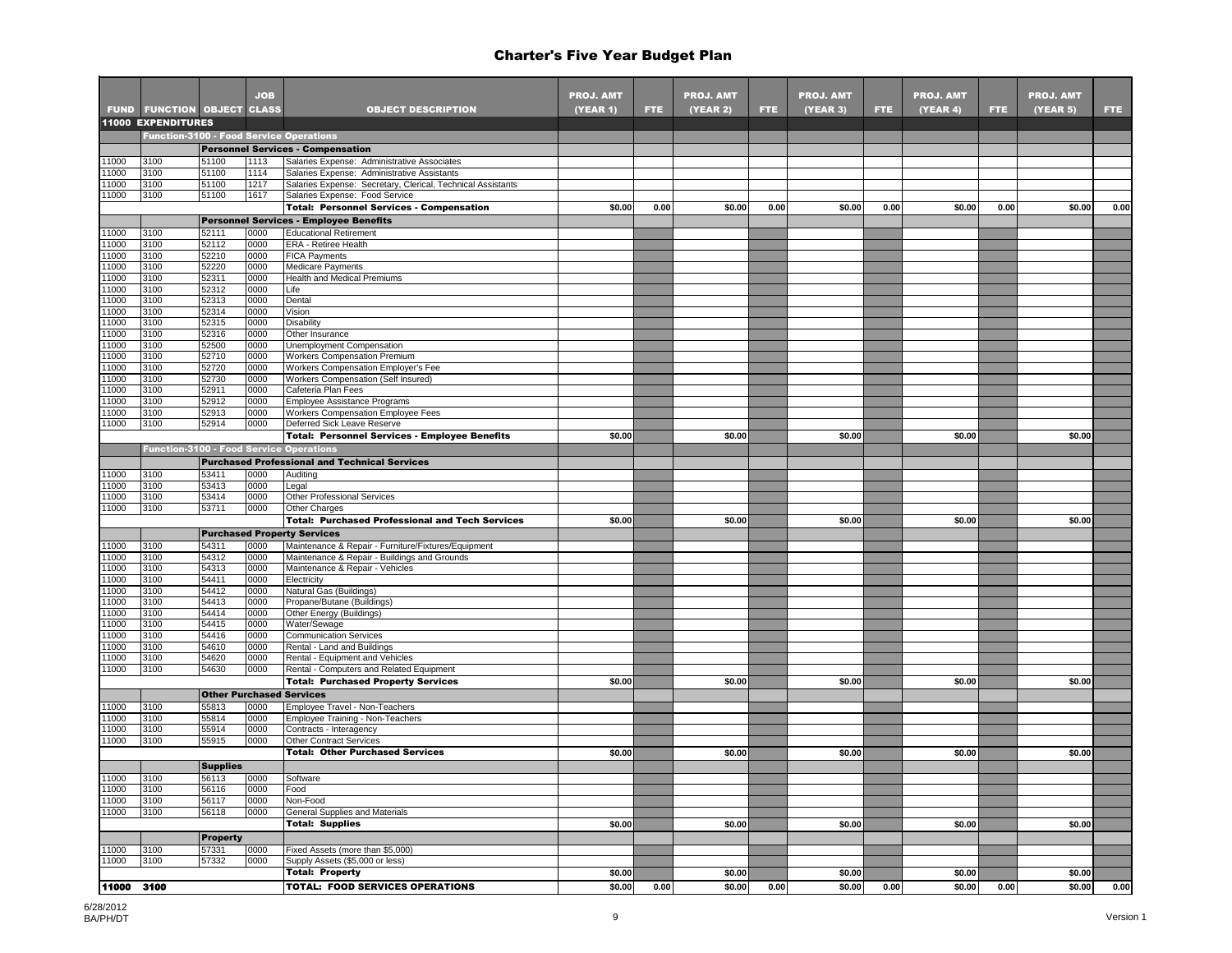| <b>FUND FUNCTION OBJECT</b><br><b>CLASS</b><br><b>OBJECT DESCRIPTION</b><br>(YEAR 1)<br><b>(YEAR 2)</b><br>(YEAR 3)<br>(YEAR 4)<br>(YEAR 5)<br>FTE.<br>FTE<br>FTE.<br>FTE.<br>FTE.<br><b>11000 EXPENDITURES</b><br>Function-3100 - Food Service Operations<br><b>Personnel Services - Compensation</b><br>1000<br>3100<br>51100<br>1113<br>Salaries Expense: Administrative Associates<br>1000<br>3100<br>51100<br>Salaries Expense: Administrative Assistants<br>1114<br>1000<br>3100<br>51100<br>1217<br>Salaries Expense: Secretary, Clerical, Technical Assistants<br>1000<br>3100<br>51100<br>1617<br>Salaries Expense: Food Service<br><b>Total: Personnel Services - Compensation</b><br>\$0.00<br>0.00<br>\$0.00<br>0.00<br>\$0.00<br>0.00<br>\$0.00<br>0.00<br>\$0.00<br>0.00<br><b>Personnel Services - Employee Benefits</b><br>1000<br>3100<br>52111<br>0000<br><b>Educational Retirement</b><br>1000<br>3100<br>52112<br>0000<br>ERA - Retiree Health<br>3100<br>52210<br>0000<br>1000<br><b>FICA Payments</b><br>1000<br>3100<br>52220<br>0000<br>Medicare Payments<br>1000<br>3100<br>52311<br><b>Health and Medical Premiums</b><br>0000<br>1000<br>3100<br>52312<br>0000<br>Life<br>1000<br>3100<br>52313<br>0000<br>Dental<br>1000<br>3100<br>52314<br>0000<br>Vision<br>1000<br>3100<br>52315<br>0000<br>Disability<br>1000<br>3100<br>52316<br>0000<br>Other Insurance<br>1000<br>3100<br>52500<br>0000<br>Unemployment Compensation<br>1000<br>3100<br>52710<br>0000<br><b>Workers Compensation Premium</b><br>1000<br>3100<br>52720<br>0000<br>Workers Compensation Employer's Fee<br>1000<br>52730<br>3100<br>0000<br>Workers Compensation (Self Insured)<br>1000<br>Cafeteria Plan Fees<br>3100<br>52911<br>0000<br>1000<br>3100<br>52912<br>0000<br>Employee Assistance Programs<br>1000<br>3100<br>52913<br>0000<br>Workers Compensation Employee Fees<br>1000<br>3100<br>52914<br>0000<br>Deferred Sick Leave Reserve<br><b>Total: Personnel Services - Employee Benefits</b><br>\$0.00<br>\$0.00<br>\$0.00<br>\$0.00<br>\$0.00<br><b>Function-3100 - Food Service Operations</b><br><b>Purchased Professional and Technical Services</b><br>1000<br>3100<br>53411<br>0000<br>Auditing<br>3100<br>1000<br>53413<br>0000<br>Legal<br>Other Professional Services<br>1000<br>3100<br>53414<br>0000<br>1000<br>3100<br>53711<br>0000<br>Other Charges<br><b>Total: Purchased Professional and Tech Services</b><br>\$0.00<br>\$0.00<br>\$0.00<br>\$0.00<br>\$0.00<br><b>Purchased Property Services</b><br>1000<br>54311<br>Maintenance & Repair - Furniture/Fixtures/Equipment<br>3100<br>0000<br>1000<br>3100<br>54312<br>0000<br>Maintenance & Repair - Buildings and Grounds<br>1000<br>3100<br>54313<br>0000<br>Maintenance & Repair - Vehicles<br>1000<br>54411<br>0000<br>Electricity<br>3100<br>1000<br>54412<br>0000<br>Natural Gas (Buildings)<br>3100<br>1000<br>54413<br>Propane/Butane (Buildings)<br>3100<br>0000<br>1000<br>3100<br>54414<br>0000<br>Other Energy (Buildings)<br>1000<br>3100<br>54415<br>0000<br>Water/Sewage<br>1000<br>3100<br>54416<br>0000<br><b>Communication Services</b><br>3100<br>54610<br>1000<br>0000<br>Rental - Land and Buildings<br>3100<br>54620<br>1000<br>0000<br>Rental - Equipment and Vehicles<br>1000<br>3100<br>54630<br>0000<br>Rental - Computers and Related Equipment<br><b>Total: Purchased Property Services</b><br>\$0.00<br>\$0.00<br>\$0.00<br>\$0.00<br>\$0.00<br><b>Other Purchased Services</b><br>1000<br>3100<br>55813<br>0000<br>Employee Travel - Non-Teachers<br>1000<br>3100<br>55814<br>0000<br>Employee Training - Non-Teachers<br>55914<br>1000<br>3100<br>0000<br>Contracts - Interagency<br>1000<br>3100<br>55915<br>0000<br><b>Other Contract Services</b><br><b>Total: Other Purchased Services</b><br>\$0.00<br>\$0.00<br>\$0.00<br>\$0.00<br>\$0.00<br><b>Supplies</b><br>1000<br>3100<br>56113<br>0000<br>Software<br>3100<br>1000<br>56116<br>0000<br>Food<br>1000<br>3100<br>56117<br>0000<br>Non-Food<br>1000<br>3100<br>56118<br>0000<br><b>General Supplies and Materials</b><br>\$0.00<br><b>Total: Supplies</b><br>\$0.00<br>\$0.00<br>\$0.00<br>\$0.00<br><b>Property</b><br>1000<br>3100<br>57331<br>Fixed Assets (more than \$5,000)<br>0000<br>11000<br>3100<br>57332<br>0000<br>Supply Assets (\$5,000 or less)<br>\$0.00<br><b>Total: Property</b><br>\$0.00<br>\$0.00<br>\$0.00<br>\$0.00<br>11000 3100<br><b>TOTAL: FOOD SERVICES OPERATIONS</b><br>\$0.00<br>0.00<br>0.00<br>0.00<br>0.00<br>0.00<br>\$0.00<br>\$0.00<br>\$0.00<br>\$0.00 |  | <b>JOB</b> | <b>PROJ. AMT</b> | <b>PROJ. AMT</b> | <b>PROJ. AMT</b> | <b>PROJ. AMT</b> | <b>PROJ. AMT</b> |  |
|----------------------------------------------------------------------------------------------------------------------------------------------------------------------------------------------------------------------------------------------------------------------------------------------------------------------------------------------------------------------------------------------------------------------------------------------------------------------------------------------------------------------------------------------------------------------------------------------------------------------------------------------------------------------------------------------------------------------------------------------------------------------------------------------------------------------------------------------------------------------------------------------------------------------------------------------------------------------------------------------------------------------------------------------------------------------------------------------------------------------------------------------------------------------------------------------------------------------------------------------------------------------------------------------------------------------------------------------------------------------------------------------------------------------------------------------------------------------------------------------------------------------------------------------------------------------------------------------------------------------------------------------------------------------------------------------------------------------------------------------------------------------------------------------------------------------------------------------------------------------------------------------------------------------------------------------------------------------------------------------------------------------------------------------------------------------------------------------------------------------------------------------------------------------------------------------------------------------------------------------------------------------------------------------------------------------------------------------------------------------------------------------------------------------------------------------------------------------------------------------------------------------------------------------------------------------------------------------------------------------------------------------------------------------------------------------------------------------------------------------------------------------------------------------------------------------------------------------------------------------------------------------------------------------------------------------------------------------------------------------------------------------------------------------------------------------------------------------------------------------------------------------------------------------------------------------------------------------------------------------------------------------------------------------------------------------------------------------------------------------------------------------------------------------------------------------------------------------------------------------------------------------------------------------------------------------------------------------------------------------------------------------------------------------------------------------------------------------------------------------------------------------------------------------------------------------------------------------------------------------------------------------------------------------------------------------------------------------------------------------------------------------------------------------------------------------------------------------------------------------------------------------------------------------------------------------------------------------------------------------------------------------------------------------------------------------------------------------------------------------------------------------------------------------------------------------------------------------------------------------------------------------------------------------------------------------|--|------------|------------------|------------------|------------------|------------------|------------------|--|
|                                                                                                                                                                                                                                                                                                                                                                                                                                                                                                                                                                                                                                                                                                                                                                                                                                                                                                                                                                                                                                                                                                                                                                                                                                                                                                                                                                                                                                                                                                                                                                                                                                                                                                                                                                                                                                                                                                                                                                                                                                                                                                                                                                                                                                                                                                                                                                                                                                                                                                                                                                                                                                                                                                                                                                                                                                                                                                                                                                                                                                                                                                                                                                                                                                                                                                                                                                                                                                                                                                                                                                                                                                                                                                                                                                                                                                                                                                                                                                                                                                                                                                                                                                                                                                                                                                                                                                                                                                                                                                                                                                      |  |            |                  |                  |                  |                  |                  |  |
|                                                                                                                                                                                                                                                                                                                                                                                                                                                                                                                                                                                                                                                                                                                                                                                                                                                                                                                                                                                                                                                                                                                                                                                                                                                                                                                                                                                                                                                                                                                                                                                                                                                                                                                                                                                                                                                                                                                                                                                                                                                                                                                                                                                                                                                                                                                                                                                                                                                                                                                                                                                                                                                                                                                                                                                                                                                                                                                                                                                                                                                                                                                                                                                                                                                                                                                                                                                                                                                                                                                                                                                                                                                                                                                                                                                                                                                                                                                                                                                                                                                                                                                                                                                                                                                                                                                                                                                                                                                                                                                                                                      |  |            |                  |                  |                  |                  |                  |  |
|                                                                                                                                                                                                                                                                                                                                                                                                                                                                                                                                                                                                                                                                                                                                                                                                                                                                                                                                                                                                                                                                                                                                                                                                                                                                                                                                                                                                                                                                                                                                                                                                                                                                                                                                                                                                                                                                                                                                                                                                                                                                                                                                                                                                                                                                                                                                                                                                                                                                                                                                                                                                                                                                                                                                                                                                                                                                                                                                                                                                                                                                                                                                                                                                                                                                                                                                                                                                                                                                                                                                                                                                                                                                                                                                                                                                                                                                                                                                                                                                                                                                                                                                                                                                                                                                                                                                                                                                                                                                                                                                                                      |  |            |                  |                  |                  |                  |                  |  |
|                                                                                                                                                                                                                                                                                                                                                                                                                                                                                                                                                                                                                                                                                                                                                                                                                                                                                                                                                                                                                                                                                                                                                                                                                                                                                                                                                                                                                                                                                                                                                                                                                                                                                                                                                                                                                                                                                                                                                                                                                                                                                                                                                                                                                                                                                                                                                                                                                                                                                                                                                                                                                                                                                                                                                                                                                                                                                                                                                                                                                                                                                                                                                                                                                                                                                                                                                                                                                                                                                                                                                                                                                                                                                                                                                                                                                                                                                                                                                                                                                                                                                                                                                                                                                                                                                                                                                                                                                                                                                                                                                                      |  |            |                  |                  |                  |                  |                  |  |
|                                                                                                                                                                                                                                                                                                                                                                                                                                                                                                                                                                                                                                                                                                                                                                                                                                                                                                                                                                                                                                                                                                                                                                                                                                                                                                                                                                                                                                                                                                                                                                                                                                                                                                                                                                                                                                                                                                                                                                                                                                                                                                                                                                                                                                                                                                                                                                                                                                                                                                                                                                                                                                                                                                                                                                                                                                                                                                                                                                                                                                                                                                                                                                                                                                                                                                                                                                                                                                                                                                                                                                                                                                                                                                                                                                                                                                                                                                                                                                                                                                                                                                                                                                                                                                                                                                                                                                                                                                                                                                                                                                      |  |            |                  |                  |                  |                  |                  |  |
|                                                                                                                                                                                                                                                                                                                                                                                                                                                                                                                                                                                                                                                                                                                                                                                                                                                                                                                                                                                                                                                                                                                                                                                                                                                                                                                                                                                                                                                                                                                                                                                                                                                                                                                                                                                                                                                                                                                                                                                                                                                                                                                                                                                                                                                                                                                                                                                                                                                                                                                                                                                                                                                                                                                                                                                                                                                                                                                                                                                                                                                                                                                                                                                                                                                                                                                                                                                                                                                                                                                                                                                                                                                                                                                                                                                                                                                                                                                                                                                                                                                                                                                                                                                                                                                                                                                                                                                                                                                                                                                                                                      |  |            |                  |                  |                  |                  |                  |  |
|                                                                                                                                                                                                                                                                                                                                                                                                                                                                                                                                                                                                                                                                                                                                                                                                                                                                                                                                                                                                                                                                                                                                                                                                                                                                                                                                                                                                                                                                                                                                                                                                                                                                                                                                                                                                                                                                                                                                                                                                                                                                                                                                                                                                                                                                                                                                                                                                                                                                                                                                                                                                                                                                                                                                                                                                                                                                                                                                                                                                                                                                                                                                                                                                                                                                                                                                                                                                                                                                                                                                                                                                                                                                                                                                                                                                                                                                                                                                                                                                                                                                                                                                                                                                                                                                                                                                                                                                                                                                                                                                                                      |  |            |                  |                  |                  |                  |                  |  |
|                                                                                                                                                                                                                                                                                                                                                                                                                                                                                                                                                                                                                                                                                                                                                                                                                                                                                                                                                                                                                                                                                                                                                                                                                                                                                                                                                                                                                                                                                                                                                                                                                                                                                                                                                                                                                                                                                                                                                                                                                                                                                                                                                                                                                                                                                                                                                                                                                                                                                                                                                                                                                                                                                                                                                                                                                                                                                                                                                                                                                                                                                                                                                                                                                                                                                                                                                                                                                                                                                                                                                                                                                                                                                                                                                                                                                                                                                                                                                                                                                                                                                                                                                                                                                                                                                                                                                                                                                                                                                                                                                                      |  |            |                  |                  |                  |                  |                  |  |
|                                                                                                                                                                                                                                                                                                                                                                                                                                                                                                                                                                                                                                                                                                                                                                                                                                                                                                                                                                                                                                                                                                                                                                                                                                                                                                                                                                                                                                                                                                                                                                                                                                                                                                                                                                                                                                                                                                                                                                                                                                                                                                                                                                                                                                                                                                                                                                                                                                                                                                                                                                                                                                                                                                                                                                                                                                                                                                                                                                                                                                                                                                                                                                                                                                                                                                                                                                                                                                                                                                                                                                                                                                                                                                                                                                                                                                                                                                                                                                                                                                                                                                                                                                                                                                                                                                                                                                                                                                                                                                                                                                      |  |            |                  |                  |                  |                  |                  |  |
|                                                                                                                                                                                                                                                                                                                                                                                                                                                                                                                                                                                                                                                                                                                                                                                                                                                                                                                                                                                                                                                                                                                                                                                                                                                                                                                                                                                                                                                                                                                                                                                                                                                                                                                                                                                                                                                                                                                                                                                                                                                                                                                                                                                                                                                                                                                                                                                                                                                                                                                                                                                                                                                                                                                                                                                                                                                                                                                                                                                                                                                                                                                                                                                                                                                                                                                                                                                                                                                                                                                                                                                                                                                                                                                                                                                                                                                                                                                                                                                                                                                                                                                                                                                                                                                                                                                                                                                                                                                                                                                                                                      |  |            |                  |                  |                  |                  |                  |  |
|                                                                                                                                                                                                                                                                                                                                                                                                                                                                                                                                                                                                                                                                                                                                                                                                                                                                                                                                                                                                                                                                                                                                                                                                                                                                                                                                                                                                                                                                                                                                                                                                                                                                                                                                                                                                                                                                                                                                                                                                                                                                                                                                                                                                                                                                                                                                                                                                                                                                                                                                                                                                                                                                                                                                                                                                                                                                                                                                                                                                                                                                                                                                                                                                                                                                                                                                                                                                                                                                                                                                                                                                                                                                                                                                                                                                                                                                                                                                                                                                                                                                                                                                                                                                                                                                                                                                                                                                                                                                                                                                                                      |  |            |                  |                  |                  |                  |                  |  |
|                                                                                                                                                                                                                                                                                                                                                                                                                                                                                                                                                                                                                                                                                                                                                                                                                                                                                                                                                                                                                                                                                                                                                                                                                                                                                                                                                                                                                                                                                                                                                                                                                                                                                                                                                                                                                                                                                                                                                                                                                                                                                                                                                                                                                                                                                                                                                                                                                                                                                                                                                                                                                                                                                                                                                                                                                                                                                                                                                                                                                                                                                                                                                                                                                                                                                                                                                                                                                                                                                                                                                                                                                                                                                                                                                                                                                                                                                                                                                                                                                                                                                                                                                                                                                                                                                                                                                                                                                                                                                                                                                                      |  |            |                  |                  |                  |                  |                  |  |
|                                                                                                                                                                                                                                                                                                                                                                                                                                                                                                                                                                                                                                                                                                                                                                                                                                                                                                                                                                                                                                                                                                                                                                                                                                                                                                                                                                                                                                                                                                                                                                                                                                                                                                                                                                                                                                                                                                                                                                                                                                                                                                                                                                                                                                                                                                                                                                                                                                                                                                                                                                                                                                                                                                                                                                                                                                                                                                                                                                                                                                                                                                                                                                                                                                                                                                                                                                                                                                                                                                                                                                                                                                                                                                                                                                                                                                                                                                                                                                                                                                                                                                                                                                                                                                                                                                                                                                                                                                                                                                                                                                      |  |            |                  |                  |                  |                  |                  |  |
|                                                                                                                                                                                                                                                                                                                                                                                                                                                                                                                                                                                                                                                                                                                                                                                                                                                                                                                                                                                                                                                                                                                                                                                                                                                                                                                                                                                                                                                                                                                                                                                                                                                                                                                                                                                                                                                                                                                                                                                                                                                                                                                                                                                                                                                                                                                                                                                                                                                                                                                                                                                                                                                                                                                                                                                                                                                                                                                                                                                                                                                                                                                                                                                                                                                                                                                                                                                                                                                                                                                                                                                                                                                                                                                                                                                                                                                                                                                                                                                                                                                                                                                                                                                                                                                                                                                                                                                                                                                                                                                                                                      |  |            |                  |                  |                  |                  |                  |  |
|                                                                                                                                                                                                                                                                                                                                                                                                                                                                                                                                                                                                                                                                                                                                                                                                                                                                                                                                                                                                                                                                                                                                                                                                                                                                                                                                                                                                                                                                                                                                                                                                                                                                                                                                                                                                                                                                                                                                                                                                                                                                                                                                                                                                                                                                                                                                                                                                                                                                                                                                                                                                                                                                                                                                                                                                                                                                                                                                                                                                                                                                                                                                                                                                                                                                                                                                                                                                                                                                                                                                                                                                                                                                                                                                                                                                                                                                                                                                                                                                                                                                                                                                                                                                                                                                                                                                                                                                                                                                                                                                                                      |  |            |                  |                  |                  |                  |                  |  |
|                                                                                                                                                                                                                                                                                                                                                                                                                                                                                                                                                                                                                                                                                                                                                                                                                                                                                                                                                                                                                                                                                                                                                                                                                                                                                                                                                                                                                                                                                                                                                                                                                                                                                                                                                                                                                                                                                                                                                                                                                                                                                                                                                                                                                                                                                                                                                                                                                                                                                                                                                                                                                                                                                                                                                                                                                                                                                                                                                                                                                                                                                                                                                                                                                                                                                                                                                                                                                                                                                                                                                                                                                                                                                                                                                                                                                                                                                                                                                                                                                                                                                                                                                                                                                                                                                                                                                                                                                                                                                                                                                                      |  |            |                  |                  |                  |                  |                  |  |
|                                                                                                                                                                                                                                                                                                                                                                                                                                                                                                                                                                                                                                                                                                                                                                                                                                                                                                                                                                                                                                                                                                                                                                                                                                                                                                                                                                                                                                                                                                                                                                                                                                                                                                                                                                                                                                                                                                                                                                                                                                                                                                                                                                                                                                                                                                                                                                                                                                                                                                                                                                                                                                                                                                                                                                                                                                                                                                                                                                                                                                                                                                                                                                                                                                                                                                                                                                                                                                                                                                                                                                                                                                                                                                                                                                                                                                                                                                                                                                                                                                                                                                                                                                                                                                                                                                                                                                                                                                                                                                                                                                      |  |            |                  |                  |                  |                  |                  |  |
|                                                                                                                                                                                                                                                                                                                                                                                                                                                                                                                                                                                                                                                                                                                                                                                                                                                                                                                                                                                                                                                                                                                                                                                                                                                                                                                                                                                                                                                                                                                                                                                                                                                                                                                                                                                                                                                                                                                                                                                                                                                                                                                                                                                                                                                                                                                                                                                                                                                                                                                                                                                                                                                                                                                                                                                                                                                                                                                                                                                                                                                                                                                                                                                                                                                                                                                                                                                                                                                                                                                                                                                                                                                                                                                                                                                                                                                                                                                                                                                                                                                                                                                                                                                                                                                                                                                                                                                                                                                                                                                                                                      |  |            |                  |                  |                  |                  |                  |  |
|                                                                                                                                                                                                                                                                                                                                                                                                                                                                                                                                                                                                                                                                                                                                                                                                                                                                                                                                                                                                                                                                                                                                                                                                                                                                                                                                                                                                                                                                                                                                                                                                                                                                                                                                                                                                                                                                                                                                                                                                                                                                                                                                                                                                                                                                                                                                                                                                                                                                                                                                                                                                                                                                                                                                                                                                                                                                                                                                                                                                                                                                                                                                                                                                                                                                                                                                                                                                                                                                                                                                                                                                                                                                                                                                                                                                                                                                                                                                                                                                                                                                                                                                                                                                                                                                                                                                                                                                                                                                                                                                                                      |  |            |                  |                  |                  |                  |                  |  |
|                                                                                                                                                                                                                                                                                                                                                                                                                                                                                                                                                                                                                                                                                                                                                                                                                                                                                                                                                                                                                                                                                                                                                                                                                                                                                                                                                                                                                                                                                                                                                                                                                                                                                                                                                                                                                                                                                                                                                                                                                                                                                                                                                                                                                                                                                                                                                                                                                                                                                                                                                                                                                                                                                                                                                                                                                                                                                                                                                                                                                                                                                                                                                                                                                                                                                                                                                                                                                                                                                                                                                                                                                                                                                                                                                                                                                                                                                                                                                                                                                                                                                                                                                                                                                                                                                                                                                                                                                                                                                                                                                                      |  |            |                  |                  |                  |                  |                  |  |
|                                                                                                                                                                                                                                                                                                                                                                                                                                                                                                                                                                                                                                                                                                                                                                                                                                                                                                                                                                                                                                                                                                                                                                                                                                                                                                                                                                                                                                                                                                                                                                                                                                                                                                                                                                                                                                                                                                                                                                                                                                                                                                                                                                                                                                                                                                                                                                                                                                                                                                                                                                                                                                                                                                                                                                                                                                                                                                                                                                                                                                                                                                                                                                                                                                                                                                                                                                                                                                                                                                                                                                                                                                                                                                                                                                                                                                                                                                                                                                                                                                                                                                                                                                                                                                                                                                                                                                                                                                                                                                                                                                      |  |            |                  |                  |                  |                  |                  |  |
|                                                                                                                                                                                                                                                                                                                                                                                                                                                                                                                                                                                                                                                                                                                                                                                                                                                                                                                                                                                                                                                                                                                                                                                                                                                                                                                                                                                                                                                                                                                                                                                                                                                                                                                                                                                                                                                                                                                                                                                                                                                                                                                                                                                                                                                                                                                                                                                                                                                                                                                                                                                                                                                                                                                                                                                                                                                                                                                                                                                                                                                                                                                                                                                                                                                                                                                                                                                                                                                                                                                                                                                                                                                                                                                                                                                                                                                                                                                                                                                                                                                                                                                                                                                                                                                                                                                                                                                                                                                                                                                                                                      |  |            |                  |                  |                  |                  |                  |  |
|                                                                                                                                                                                                                                                                                                                                                                                                                                                                                                                                                                                                                                                                                                                                                                                                                                                                                                                                                                                                                                                                                                                                                                                                                                                                                                                                                                                                                                                                                                                                                                                                                                                                                                                                                                                                                                                                                                                                                                                                                                                                                                                                                                                                                                                                                                                                                                                                                                                                                                                                                                                                                                                                                                                                                                                                                                                                                                                                                                                                                                                                                                                                                                                                                                                                                                                                                                                                                                                                                                                                                                                                                                                                                                                                                                                                                                                                                                                                                                                                                                                                                                                                                                                                                                                                                                                                                                                                                                                                                                                                                                      |  |            |                  |                  |                  |                  |                  |  |
|                                                                                                                                                                                                                                                                                                                                                                                                                                                                                                                                                                                                                                                                                                                                                                                                                                                                                                                                                                                                                                                                                                                                                                                                                                                                                                                                                                                                                                                                                                                                                                                                                                                                                                                                                                                                                                                                                                                                                                                                                                                                                                                                                                                                                                                                                                                                                                                                                                                                                                                                                                                                                                                                                                                                                                                                                                                                                                                                                                                                                                                                                                                                                                                                                                                                                                                                                                                                                                                                                                                                                                                                                                                                                                                                                                                                                                                                                                                                                                                                                                                                                                                                                                                                                                                                                                                                                                                                                                                                                                                                                                      |  |            |                  |                  |                  |                  |                  |  |
|                                                                                                                                                                                                                                                                                                                                                                                                                                                                                                                                                                                                                                                                                                                                                                                                                                                                                                                                                                                                                                                                                                                                                                                                                                                                                                                                                                                                                                                                                                                                                                                                                                                                                                                                                                                                                                                                                                                                                                                                                                                                                                                                                                                                                                                                                                                                                                                                                                                                                                                                                                                                                                                                                                                                                                                                                                                                                                                                                                                                                                                                                                                                                                                                                                                                                                                                                                                                                                                                                                                                                                                                                                                                                                                                                                                                                                                                                                                                                                                                                                                                                                                                                                                                                                                                                                                                                                                                                                                                                                                                                                      |  |            |                  |                  |                  |                  |                  |  |
|                                                                                                                                                                                                                                                                                                                                                                                                                                                                                                                                                                                                                                                                                                                                                                                                                                                                                                                                                                                                                                                                                                                                                                                                                                                                                                                                                                                                                                                                                                                                                                                                                                                                                                                                                                                                                                                                                                                                                                                                                                                                                                                                                                                                                                                                                                                                                                                                                                                                                                                                                                                                                                                                                                                                                                                                                                                                                                                                                                                                                                                                                                                                                                                                                                                                                                                                                                                                                                                                                                                                                                                                                                                                                                                                                                                                                                                                                                                                                                                                                                                                                                                                                                                                                                                                                                                                                                                                                                                                                                                                                                      |  |            |                  |                  |                  |                  |                  |  |
|                                                                                                                                                                                                                                                                                                                                                                                                                                                                                                                                                                                                                                                                                                                                                                                                                                                                                                                                                                                                                                                                                                                                                                                                                                                                                                                                                                                                                                                                                                                                                                                                                                                                                                                                                                                                                                                                                                                                                                                                                                                                                                                                                                                                                                                                                                                                                                                                                                                                                                                                                                                                                                                                                                                                                                                                                                                                                                                                                                                                                                                                                                                                                                                                                                                                                                                                                                                                                                                                                                                                                                                                                                                                                                                                                                                                                                                                                                                                                                                                                                                                                                                                                                                                                                                                                                                                                                                                                                                                                                                                                                      |  |            |                  |                  |                  |                  |                  |  |
|                                                                                                                                                                                                                                                                                                                                                                                                                                                                                                                                                                                                                                                                                                                                                                                                                                                                                                                                                                                                                                                                                                                                                                                                                                                                                                                                                                                                                                                                                                                                                                                                                                                                                                                                                                                                                                                                                                                                                                                                                                                                                                                                                                                                                                                                                                                                                                                                                                                                                                                                                                                                                                                                                                                                                                                                                                                                                                                                                                                                                                                                                                                                                                                                                                                                                                                                                                                                                                                                                                                                                                                                                                                                                                                                                                                                                                                                                                                                                                                                                                                                                                                                                                                                                                                                                                                                                                                                                                                                                                                                                                      |  |            |                  |                  |                  |                  |                  |  |
|                                                                                                                                                                                                                                                                                                                                                                                                                                                                                                                                                                                                                                                                                                                                                                                                                                                                                                                                                                                                                                                                                                                                                                                                                                                                                                                                                                                                                                                                                                                                                                                                                                                                                                                                                                                                                                                                                                                                                                                                                                                                                                                                                                                                                                                                                                                                                                                                                                                                                                                                                                                                                                                                                                                                                                                                                                                                                                                                                                                                                                                                                                                                                                                                                                                                                                                                                                                                                                                                                                                                                                                                                                                                                                                                                                                                                                                                                                                                                                                                                                                                                                                                                                                                                                                                                                                                                                                                                                                                                                                                                                      |  |            |                  |                  |                  |                  |                  |  |
|                                                                                                                                                                                                                                                                                                                                                                                                                                                                                                                                                                                                                                                                                                                                                                                                                                                                                                                                                                                                                                                                                                                                                                                                                                                                                                                                                                                                                                                                                                                                                                                                                                                                                                                                                                                                                                                                                                                                                                                                                                                                                                                                                                                                                                                                                                                                                                                                                                                                                                                                                                                                                                                                                                                                                                                                                                                                                                                                                                                                                                                                                                                                                                                                                                                                                                                                                                                                                                                                                                                                                                                                                                                                                                                                                                                                                                                                                                                                                                                                                                                                                                                                                                                                                                                                                                                                                                                                                                                                                                                                                                      |  |            |                  |                  |                  |                  |                  |  |
|                                                                                                                                                                                                                                                                                                                                                                                                                                                                                                                                                                                                                                                                                                                                                                                                                                                                                                                                                                                                                                                                                                                                                                                                                                                                                                                                                                                                                                                                                                                                                                                                                                                                                                                                                                                                                                                                                                                                                                                                                                                                                                                                                                                                                                                                                                                                                                                                                                                                                                                                                                                                                                                                                                                                                                                                                                                                                                                                                                                                                                                                                                                                                                                                                                                                                                                                                                                                                                                                                                                                                                                                                                                                                                                                                                                                                                                                                                                                                                                                                                                                                                                                                                                                                                                                                                                                                                                                                                                                                                                                                                      |  |            |                  |                  |                  |                  |                  |  |
|                                                                                                                                                                                                                                                                                                                                                                                                                                                                                                                                                                                                                                                                                                                                                                                                                                                                                                                                                                                                                                                                                                                                                                                                                                                                                                                                                                                                                                                                                                                                                                                                                                                                                                                                                                                                                                                                                                                                                                                                                                                                                                                                                                                                                                                                                                                                                                                                                                                                                                                                                                                                                                                                                                                                                                                                                                                                                                                                                                                                                                                                                                                                                                                                                                                                                                                                                                                                                                                                                                                                                                                                                                                                                                                                                                                                                                                                                                                                                                                                                                                                                                                                                                                                                                                                                                                                                                                                                                                                                                                                                                      |  |            |                  |                  |                  |                  |                  |  |
|                                                                                                                                                                                                                                                                                                                                                                                                                                                                                                                                                                                                                                                                                                                                                                                                                                                                                                                                                                                                                                                                                                                                                                                                                                                                                                                                                                                                                                                                                                                                                                                                                                                                                                                                                                                                                                                                                                                                                                                                                                                                                                                                                                                                                                                                                                                                                                                                                                                                                                                                                                                                                                                                                                                                                                                                                                                                                                                                                                                                                                                                                                                                                                                                                                                                                                                                                                                                                                                                                                                                                                                                                                                                                                                                                                                                                                                                                                                                                                                                                                                                                                                                                                                                                                                                                                                                                                                                                                                                                                                                                                      |  |            |                  |                  |                  |                  |                  |  |
|                                                                                                                                                                                                                                                                                                                                                                                                                                                                                                                                                                                                                                                                                                                                                                                                                                                                                                                                                                                                                                                                                                                                                                                                                                                                                                                                                                                                                                                                                                                                                                                                                                                                                                                                                                                                                                                                                                                                                                                                                                                                                                                                                                                                                                                                                                                                                                                                                                                                                                                                                                                                                                                                                                                                                                                                                                                                                                                                                                                                                                                                                                                                                                                                                                                                                                                                                                                                                                                                                                                                                                                                                                                                                                                                                                                                                                                                                                                                                                                                                                                                                                                                                                                                                                                                                                                                                                                                                                                                                                                                                                      |  |            |                  |                  |                  |                  |                  |  |
|                                                                                                                                                                                                                                                                                                                                                                                                                                                                                                                                                                                                                                                                                                                                                                                                                                                                                                                                                                                                                                                                                                                                                                                                                                                                                                                                                                                                                                                                                                                                                                                                                                                                                                                                                                                                                                                                                                                                                                                                                                                                                                                                                                                                                                                                                                                                                                                                                                                                                                                                                                                                                                                                                                                                                                                                                                                                                                                                                                                                                                                                                                                                                                                                                                                                                                                                                                                                                                                                                                                                                                                                                                                                                                                                                                                                                                                                                                                                                                                                                                                                                                                                                                                                                                                                                                                                                                                                                                                                                                                                                                      |  |            |                  |                  |                  |                  |                  |  |
|                                                                                                                                                                                                                                                                                                                                                                                                                                                                                                                                                                                                                                                                                                                                                                                                                                                                                                                                                                                                                                                                                                                                                                                                                                                                                                                                                                                                                                                                                                                                                                                                                                                                                                                                                                                                                                                                                                                                                                                                                                                                                                                                                                                                                                                                                                                                                                                                                                                                                                                                                                                                                                                                                                                                                                                                                                                                                                                                                                                                                                                                                                                                                                                                                                                                                                                                                                                                                                                                                                                                                                                                                                                                                                                                                                                                                                                                                                                                                                                                                                                                                                                                                                                                                                                                                                                                                                                                                                                                                                                                                                      |  |            |                  |                  |                  |                  |                  |  |
|                                                                                                                                                                                                                                                                                                                                                                                                                                                                                                                                                                                                                                                                                                                                                                                                                                                                                                                                                                                                                                                                                                                                                                                                                                                                                                                                                                                                                                                                                                                                                                                                                                                                                                                                                                                                                                                                                                                                                                                                                                                                                                                                                                                                                                                                                                                                                                                                                                                                                                                                                                                                                                                                                                                                                                                                                                                                                                                                                                                                                                                                                                                                                                                                                                                                                                                                                                                                                                                                                                                                                                                                                                                                                                                                                                                                                                                                                                                                                                                                                                                                                                                                                                                                                                                                                                                                                                                                                                                                                                                                                                      |  |            |                  |                  |                  |                  |                  |  |
|                                                                                                                                                                                                                                                                                                                                                                                                                                                                                                                                                                                                                                                                                                                                                                                                                                                                                                                                                                                                                                                                                                                                                                                                                                                                                                                                                                                                                                                                                                                                                                                                                                                                                                                                                                                                                                                                                                                                                                                                                                                                                                                                                                                                                                                                                                                                                                                                                                                                                                                                                                                                                                                                                                                                                                                                                                                                                                                                                                                                                                                                                                                                                                                                                                                                                                                                                                                                                                                                                                                                                                                                                                                                                                                                                                                                                                                                                                                                                                                                                                                                                                                                                                                                                                                                                                                                                                                                                                                                                                                                                                      |  |            |                  |                  |                  |                  |                  |  |
|                                                                                                                                                                                                                                                                                                                                                                                                                                                                                                                                                                                                                                                                                                                                                                                                                                                                                                                                                                                                                                                                                                                                                                                                                                                                                                                                                                                                                                                                                                                                                                                                                                                                                                                                                                                                                                                                                                                                                                                                                                                                                                                                                                                                                                                                                                                                                                                                                                                                                                                                                                                                                                                                                                                                                                                                                                                                                                                                                                                                                                                                                                                                                                                                                                                                                                                                                                                                                                                                                                                                                                                                                                                                                                                                                                                                                                                                                                                                                                                                                                                                                                                                                                                                                                                                                                                                                                                                                                                                                                                                                                      |  |            |                  |                  |                  |                  |                  |  |
|                                                                                                                                                                                                                                                                                                                                                                                                                                                                                                                                                                                                                                                                                                                                                                                                                                                                                                                                                                                                                                                                                                                                                                                                                                                                                                                                                                                                                                                                                                                                                                                                                                                                                                                                                                                                                                                                                                                                                                                                                                                                                                                                                                                                                                                                                                                                                                                                                                                                                                                                                                                                                                                                                                                                                                                                                                                                                                                                                                                                                                                                                                                                                                                                                                                                                                                                                                                                                                                                                                                                                                                                                                                                                                                                                                                                                                                                                                                                                                                                                                                                                                                                                                                                                                                                                                                                                                                                                                                                                                                                                                      |  |            |                  |                  |                  |                  |                  |  |
|                                                                                                                                                                                                                                                                                                                                                                                                                                                                                                                                                                                                                                                                                                                                                                                                                                                                                                                                                                                                                                                                                                                                                                                                                                                                                                                                                                                                                                                                                                                                                                                                                                                                                                                                                                                                                                                                                                                                                                                                                                                                                                                                                                                                                                                                                                                                                                                                                                                                                                                                                                                                                                                                                                                                                                                                                                                                                                                                                                                                                                                                                                                                                                                                                                                                                                                                                                                                                                                                                                                                                                                                                                                                                                                                                                                                                                                                                                                                                                                                                                                                                                                                                                                                                                                                                                                                                                                                                                                                                                                                                                      |  |            |                  |                  |                  |                  |                  |  |
|                                                                                                                                                                                                                                                                                                                                                                                                                                                                                                                                                                                                                                                                                                                                                                                                                                                                                                                                                                                                                                                                                                                                                                                                                                                                                                                                                                                                                                                                                                                                                                                                                                                                                                                                                                                                                                                                                                                                                                                                                                                                                                                                                                                                                                                                                                                                                                                                                                                                                                                                                                                                                                                                                                                                                                                                                                                                                                                                                                                                                                                                                                                                                                                                                                                                                                                                                                                                                                                                                                                                                                                                                                                                                                                                                                                                                                                                                                                                                                                                                                                                                                                                                                                                                                                                                                                                                                                                                                                                                                                                                                      |  |            |                  |                  |                  |                  |                  |  |
|                                                                                                                                                                                                                                                                                                                                                                                                                                                                                                                                                                                                                                                                                                                                                                                                                                                                                                                                                                                                                                                                                                                                                                                                                                                                                                                                                                                                                                                                                                                                                                                                                                                                                                                                                                                                                                                                                                                                                                                                                                                                                                                                                                                                                                                                                                                                                                                                                                                                                                                                                                                                                                                                                                                                                                                                                                                                                                                                                                                                                                                                                                                                                                                                                                                                                                                                                                                                                                                                                                                                                                                                                                                                                                                                                                                                                                                                                                                                                                                                                                                                                                                                                                                                                                                                                                                                                                                                                                                                                                                                                                      |  |            |                  |                  |                  |                  |                  |  |
|                                                                                                                                                                                                                                                                                                                                                                                                                                                                                                                                                                                                                                                                                                                                                                                                                                                                                                                                                                                                                                                                                                                                                                                                                                                                                                                                                                                                                                                                                                                                                                                                                                                                                                                                                                                                                                                                                                                                                                                                                                                                                                                                                                                                                                                                                                                                                                                                                                                                                                                                                                                                                                                                                                                                                                                                                                                                                                                                                                                                                                                                                                                                                                                                                                                                                                                                                                                                                                                                                                                                                                                                                                                                                                                                                                                                                                                                                                                                                                                                                                                                                                                                                                                                                                                                                                                                                                                                                                                                                                                                                                      |  |            |                  |                  |                  |                  |                  |  |
|                                                                                                                                                                                                                                                                                                                                                                                                                                                                                                                                                                                                                                                                                                                                                                                                                                                                                                                                                                                                                                                                                                                                                                                                                                                                                                                                                                                                                                                                                                                                                                                                                                                                                                                                                                                                                                                                                                                                                                                                                                                                                                                                                                                                                                                                                                                                                                                                                                                                                                                                                                                                                                                                                                                                                                                                                                                                                                                                                                                                                                                                                                                                                                                                                                                                                                                                                                                                                                                                                                                                                                                                                                                                                                                                                                                                                                                                                                                                                                                                                                                                                                                                                                                                                                                                                                                                                                                                                                                                                                                                                                      |  |            |                  |                  |                  |                  |                  |  |
|                                                                                                                                                                                                                                                                                                                                                                                                                                                                                                                                                                                                                                                                                                                                                                                                                                                                                                                                                                                                                                                                                                                                                                                                                                                                                                                                                                                                                                                                                                                                                                                                                                                                                                                                                                                                                                                                                                                                                                                                                                                                                                                                                                                                                                                                                                                                                                                                                                                                                                                                                                                                                                                                                                                                                                                                                                                                                                                                                                                                                                                                                                                                                                                                                                                                                                                                                                                                                                                                                                                                                                                                                                                                                                                                                                                                                                                                                                                                                                                                                                                                                                                                                                                                                                                                                                                                                                                                                                                                                                                                                                      |  |            |                  |                  |                  |                  |                  |  |
|                                                                                                                                                                                                                                                                                                                                                                                                                                                                                                                                                                                                                                                                                                                                                                                                                                                                                                                                                                                                                                                                                                                                                                                                                                                                                                                                                                                                                                                                                                                                                                                                                                                                                                                                                                                                                                                                                                                                                                                                                                                                                                                                                                                                                                                                                                                                                                                                                                                                                                                                                                                                                                                                                                                                                                                                                                                                                                                                                                                                                                                                                                                                                                                                                                                                                                                                                                                                                                                                                                                                                                                                                                                                                                                                                                                                                                                                                                                                                                                                                                                                                                                                                                                                                                                                                                                                                                                                                                                                                                                                                                      |  |            |                  |                  |                  |                  |                  |  |
|                                                                                                                                                                                                                                                                                                                                                                                                                                                                                                                                                                                                                                                                                                                                                                                                                                                                                                                                                                                                                                                                                                                                                                                                                                                                                                                                                                                                                                                                                                                                                                                                                                                                                                                                                                                                                                                                                                                                                                                                                                                                                                                                                                                                                                                                                                                                                                                                                                                                                                                                                                                                                                                                                                                                                                                                                                                                                                                                                                                                                                                                                                                                                                                                                                                                                                                                                                                                                                                                                                                                                                                                                                                                                                                                                                                                                                                                                                                                                                                                                                                                                                                                                                                                                                                                                                                                                                                                                                                                                                                                                                      |  |            |                  |                  |                  |                  |                  |  |
|                                                                                                                                                                                                                                                                                                                                                                                                                                                                                                                                                                                                                                                                                                                                                                                                                                                                                                                                                                                                                                                                                                                                                                                                                                                                                                                                                                                                                                                                                                                                                                                                                                                                                                                                                                                                                                                                                                                                                                                                                                                                                                                                                                                                                                                                                                                                                                                                                                                                                                                                                                                                                                                                                                                                                                                                                                                                                                                                                                                                                                                                                                                                                                                                                                                                                                                                                                                                                                                                                                                                                                                                                                                                                                                                                                                                                                                                                                                                                                                                                                                                                                                                                                                                                                                                                                                                                                                                                                                                                                                                                                      |  |            |                  |                  |                  |                  |                  |  |
|                                                                                                                                                                                                                                                                                                                                                                                                                                                                                                                                                                                                                                                                                                                                                                                                                                                                                                                                                                                                                                                                                                                                                                                                                                                                                                                                                                                                                                                                                                                                                                                                                                                                                                                                                                                                                                                                                                                                                                                                                                                                                                                                                                                                                                                                                                                                                                                                                                                                                                                                                                                                                                                                                                                                                                                                                                                                                                                                                                                                                                                                                                                                                                                                                                                                                                                                                                                                                                                                                                                                                                                                                                                                                                                                                                                                                                                                                                                                                                                                                                                                                                                                                                                                                                                                                                                                                                                                                                                                                                                                                                      |  |            |                  |                  |                  |                  |                  |  |
|                                                                                                                                                                                                                                                                                                                                                                                                                                                                                                                                                                                                                                                                                                                                                                                                                                                                                                                                                                                                                                                                                                                                                                                                                                                                                                                                                                                                                                                                                                                                                                                                                                                                                                                                                                                                                                                                                                                                                                                                                                                                                                                                                                                                                                                                                                                                                                                                                                                                                                                                                                                                                                                                                                                                                                                                                                                                                                                                                                                                                                                                                                                                                                                                                                                                                                                                                                                                                                                                                                                                                                                                                                                                                                                                                                                                                                                                                                                                                                                                                                                                                                                                                                                                                                                                                                                                                                                                                                                                                                                                                                      |  |            |                  |                  |                  |                  |                  |  |
|                                                                                                                                                                                                                                                                                                                                                                                                                                                                                                                                                                                                                                                                                                                                                                                                                                                                                                                                                                                                                                                                                                                                                                                                                                                                                                                                                                                                                                                                                                                                                                                                                                                                                                                                                                                                                                                                                                                                                                                                                                                                                                                                                                                                                                                                                                                                                                                                                                                                                                                                                                                                                                                                                                                                                                                                                                                                                                                                                                                                                                                                                                                                                                                                                                                                                                                                                                                                                                                                                                                                                                                                                                                                                                                                                                                                                                                                                                                                                                                                                                                                                                                                                                                                                                                                                                                                                                                                                                                                                                                                                                      |  |            |                  |                  |                  |                  |                  |  |
|                                                                                                                                                                                                                                                                                                                                                                                                                                                                                                                                                                                                                                                                                                                                                                                                                                                                                                                                                                                                                                                                                                                                                                                                                                                                                                                                                                                                                                                                                                                                                                                                                                                                                                                                                                                                                                                                                                                                                                                                                                                                                                                                                                                                                                                                                                                                                                                                                                                                                                                                                                                                                                                                                                                                                                                                                                                                                                                                                                                                                                                                                                                                                                                                                                                                                                                                                                                                                                                                                                                                                                                                                                                                                                                                                                                                                                                                                                                                                                                                                                                                                                                                                                                                                                                                                                                                                                                                                                                                                                                                                                      |  |            |                  |                  |                  |                  |                  |  |
|                                                                                                                                                                                                                                                                                                                                                                                                                                                                                                                                                                                                                                                                                                                                                                                                                                                                                                                                                                                                                                                                                                                                                                                                                                                                                                                                                                                                                                                                                                                                                                                                                                                                                                                                                                                                                                                                                                                                                                                                                                                                                                                                                                                                                                                                                                                                                                                                                                                                                                                                                                                                                                                                                                                                                                                                                                                                                                                                                                                                                                                                                                                                                                                                                                                                                                                                                                                                                                                                                                                                                                                                                                                                                                                                                                                                                                                                                                                                                                                                                                                                                                                                                                                                                                                                                                                                                                                                                                                                                                                                                                      |  |            |                  |                  |                  |                  |                  |  |
|                                                                                                                                                                                                                                                                                                                                                                                                                                                                                                                                                                                                                                                                                                                                                                                                                                                                                                                                                                                                                                                                                                                                                                                                                                                                                                                                                                                                                                                                                                                                                                                                                                                                                                                                                                                                                                                                                                                                                                                                                                                                                                                                                                                                                                                                                                                                                                                                                                                                                                                                                                                                                                                                                                                                                                                                                                                                                                                                                                                                                                                                                                                                                                                                                                                                                                                                                                                                                                                                                                                                                                                                                                                                                                                                                                                                                                                                                                                                                                                                                                                                                                                                                                                                                                                                                                                                                                                                                                                                                                                                                                      |  |            |                  |                  |                  |                  |                  |  |
|                                                                                                                                                                                                                                                                                                                                                                                                                                                                                                                                                                                                                                                                                                                                                                                                                                                                                                                                                                                                                                                                                                                                                                                                                                                                                                                                                                                                                                                                                                                                                                                                                                                                                                                                                                                                                                                                                                                                                                                                                                                                                                                                                                                                                                                                                                                                                                                                                                                                                                                                                                                                                                                                                                                                                                                                                                                                                                                                                                                                                                                                                                                                                                                                                                                                                                                                                                                                                                                                                                                                                                                                                                                                                                                                                                                                                                                                                                                                                                                                                                                                                                                                                                                                                                                                                                                                                                                                                                                                                                                                                                      |  |            |                  |                  |                  |                  |                  |  |
|                                                                                                                                                                                                                                                                                                                                                                                                                                                                                                                                                                                                                                                                                                                                                                                                                                                                                                                                                                                                                                                                                                                                                                                                                                                                                                                                                                                                                                                                                                                                                                                                                                                                                                                                                                                                                                                                                                                                                                                                                                                                                                                                                                                                                                                                                                                                                                                                                                                                                                                                                                                                                                                                                                                                                                                                                                                                                                                                                                                                                                                                                                                                                                                                                                                                                                                                                                                                                                                                                                                                                                                                                                                                                                                                                                                                                                                                                                                                                                                                                                                                                                                                                                                                                                                                                                                                                                                                                                                                                                                                                                      |  |            |                  |                  |                  |                  |                  |  |